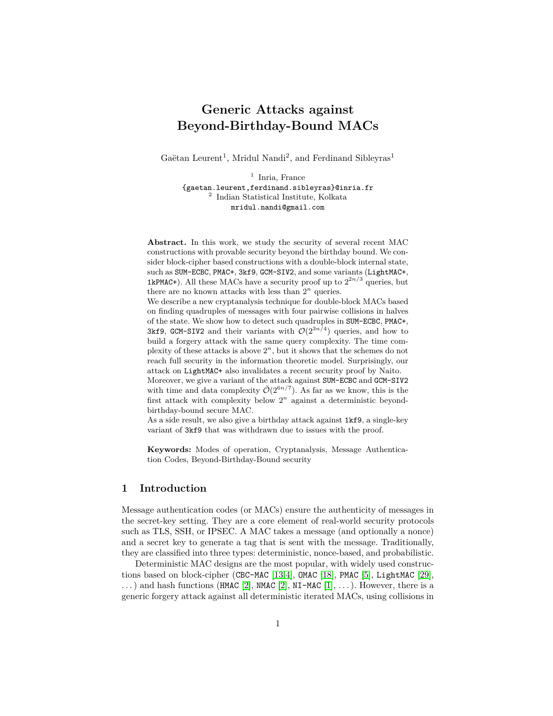# **Generic Attacks against Beyond-Birthday-Bound MACs**

Gaëtan Leurent<sup>1</sup>, Mridul Nandi<sup>2</sup>, and Ferdinand Sibleyras<sup>1</sup>

<sup>1</sup> Inria, France {gaetan.leurent,ferdinand.sibleyras}@inria.fr 2 Indian Statistical Institute, Kolkata mridul.nandi@gmail.com

**Abstract.** In this work, we study the security of several recent MAC constructions with provable security beyond the birthday bound. We consider block-cipher based constructions with a double-block internal state, such as SUM-ECBC, PMAC+, 3kf9, GCM-SIV2, and some variants (LightMAC+, **1kPMAC+**). All these MACs have a security proof up to  $2^{2n/3}$  queries, but there are no known attacks with less than  $2^n$  queries.

We describe a new cryptanalysis technique for double-block MACs based on finding quadruples of messages with four pairwise collisions in halves of the state. We show how to detect such quadruples in SUM-ECBC, PMAC+, 3kf9, GCM-SIV2 and their variants with  $\mathcal{O}(2^{3n/4})$  queries, and how to build a forgery attack with the same query complexity. The time complexity of these attacks is above  $2<sup>n</sup>$ , but it shows that the schemes do not reach full security in the information theoretic model. Surprisingly, our attack on LightMAC+ also invalidates a recent security proof by Naito. Moreover, we give a variant of the attack against SUM-ECBC and GCM-SIV2 with time and data complexity  $\tilde{\mathcal{O}}(2^{6n/7})$ . As far as we know, this is the first attack with complexity below  $2<sup>n</sup>$  against a deterministic beyondbirthday-bound secure MAC.

As a side result, we also give a birthday attack against 1kf9, a single-key variant of 3kf9 that was withdrawn due to issues with the proof.

**Keywords:** Modes of operation, Cryptanalysis, Message Authentication Codes, Beyond-Birthday-Bound security

### **1 Introduction**

Message authentication codes (or MACs) ensure the authenticity of messages in the secret-key setting. They are a core element of real-world security protocols such as TLS, SSH, or IPSEC. A MAC takes a message (and optionally a nonce) and a secret key to generate a tag that is sent with the message. Traditionally, they are classified into three types: deterministic, nonce-based, and probabilistic.

Deterministic MAC designs are the most popular, with widely used construc-tions based on block-cipher (CBC-MAC [\[13](#page-28-0)[,4\]](#page-27-0), OMAC [\[18\]](#page-28-1), PMAC [\[5\]](#page-27-1), LightMAC [\[29\]](#page-29-0),  $\dots$ ) and hash functions (HMAC [\[2\]](#page-27-2), NMAC [2], NI-MAC [\[1\]](#page-27-3),  $\dots$ ). However, there is a generic forgery attack against all deterministic iterated MACs, using collisions in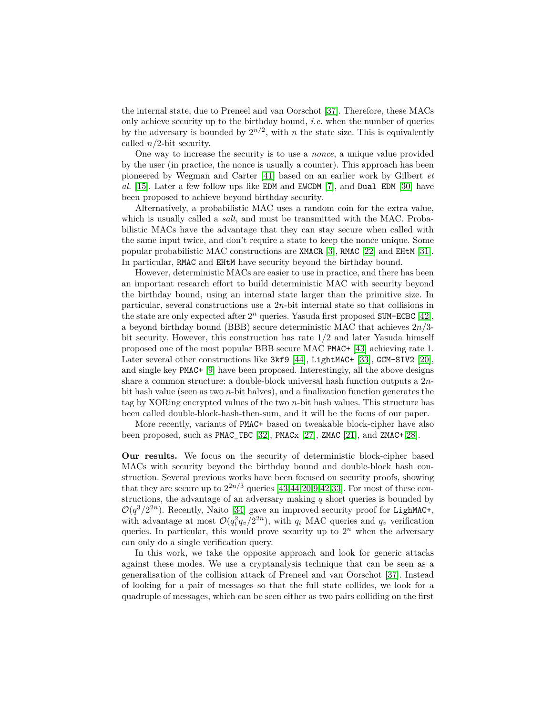the internal state, due to Preneel and van Oorschot [\[37\]](#page-29-1). Therefore, these MACs only achieve security up to the birthday bound, *i.e.* when the number of queries by the adversary is bounded by  $2^{n/2}$ , with *n* the state size. This is equivalently called *n/*2-bit security.

One way to increase the security is to use a *nonce*, a unique value provided by the user (in practice, the nonce is usually a counter). This approach has been pioneered by Wegman and Carter [\[41\]](#page-29-2) based on an earlier work by Gilbert *et al.* [\[15\]](#page-28-2). Later a few follow ups like EDM and EWCDM [\[7\]](#page-27-4), and Dual EDM [\[30\]](#page-29-3) have been proposed to achieve beyond birthday security.

Alternatively, a probabilistic MAC uses a random coin for the extra value, which is usually called a *salt*, and must be transmitted with the MAC. Probabilistic MACs have the advantage that they can stay secure when called with the same input twice, and don't require a state to keep the nonce unique. Some popular probabilistic MAC constructions are XMACR [\[3\]](#page-27-5), RMAC [\[22\]](#page-28-3) and EHtM [\[31\]](#page-29-4). In particular, RMAC and EHtM have security beyond the birthday bound.

However, deterministic MACs are easier to use in practice, and there has been an important research effort to build deterministic MAC with security beyond the birthday bound, using an internal state larger than the primitive size. In particular, several constructions use a 2*n*-bit internal state so that collisions in the state are only expected after 2 *<sup>n</sup>* queries. Yasuda first proposed SUM-ECBC [\[42\]](#page-29-5), a beyond birthday bound (BBB) secure deterministic MAC that achieves 2*n/*3 bit security. However, this construction has rate 1*/*2 and later Yasuda himself proposed one of the most popular BBB secure MAC PMAC+ [\[43\]](#page-29-6) achieving rate 1. Later several other constructions like  $3kf9$  [\[44\]](#page-29-7), LightMAC+ [\[33\]](#page-29-8), GCM-SIV2 [\[20\]](#page-28-4), and single key PMAC+ [\[9\]](#page-27-6) have been proposed. Interestingly, all the above designs share a common structure: a double-block universal hash function outputs a 2*n*bit hash value (seen as two *n*-bit halves), and a finalization function generates the tag by XORing encrypted values of the two *n*-bit hash values. This structure has been called double-block-hash-then-sum, and it will be the focus of our paper.

More recently, variants of PMAC+ based on tweakable block-cipher have also been proposed, such as PMAC\_TBC [\[32\]](#page-29-9), PMACx [\[27\]](#page-28-5), ZMAC [\[21\]](#page-28-6), and ZMAC+[\[28\]](#page-28-7).

**Our results.** We focus on the security of deterministic block-cipher based MACs with security beyond the birthday bound and double-block hash construction. Several previous works have been focused on security proofs, showing that they are secure up to  $2^{2n/3}$  queries [\[43,](#page-29-6)[44,](#page-29-7)[20](#page-28-4)[,9,](#page-27-6)[42,](#page-29-5)[33\]](#page-29-8). For most of these constructions, the advantage of an adversary making *q* short queries is bounded by  $\mathcal{O}(q^3/2^{2n})$ . Recently, Naito [\[34\]](#page-29-10) gave an improved security proof for LighMAC+, with advantage at most  $\mathcal{O}(q_t^2 q_v/2^{2n})$ , with  $q_t$  MAC queries and  $q_v$  verification queries. In particular, this would prove security up to  $2<sup>n</sup>$  when the adversary can only do a single verification query.

In this work, we take the opposite approach and look for generic attacks against these modes. We use a cryptanalysis technique that can be seen as a generalisation of the collision attack of Preneel and van Oorschot [\[37\]](#page-29-1). Instead of looking for a pair of messages so that the full state collides, we look for a quadruple of messages, which can be seen either as two pairs colliding on the first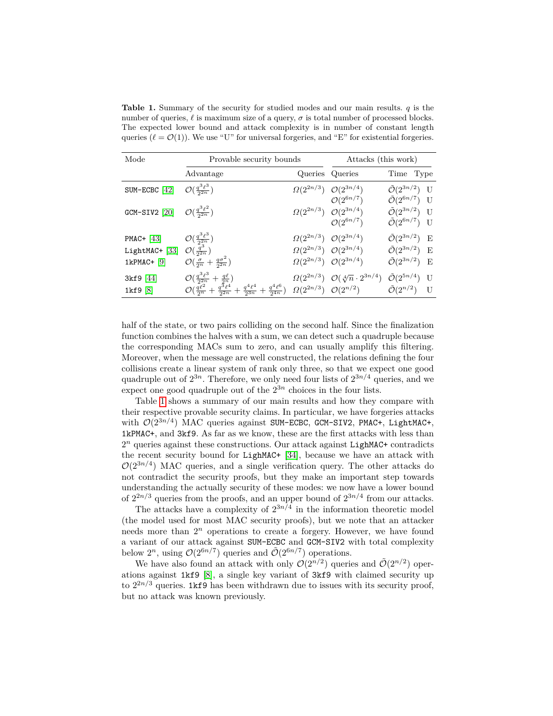<span id="page-2-0"></span>**Table 1.** Summary of the security for studied modes and our main results. *q* is the number of queries,  $\ell$  is maximum size of a query,  $\sigma$  is total number of processed blocks. The expected lower bound and attack complexity is in number of constant length queries  $(\ell = \mathcal{O}(1))$ . We use "U" for universal forgeries, and "E" for existential forgeries.

| Mode                                            | Provable security bounds                                                                                                                                                                       |                                                | Attacks (this work)                                                                                                                            |                                                                                                             |
|-------------------------------------------------|------------------------------------------------------------------------------------------------------------------------------------------------------------------------------------------------|------------------------------------------------|------------------------------------------------------------------------------------------------------------------------------------------------|-------------------------------------------------------------------------------------------------------------|
|                                                 | Advantage                                                                                                                                                                                      |                                                | Queries Queries                                                                                                                                | Time Type                                                                                                   |
| SUM-ECBC $[42]$                                 | $\mathcal{O}(\frac{q^3\ell^3}{2^{2n}})$                                                                                                                                                        | $\Omega(2^{2n/3}) \quad \mathcal{O}(2^{3n/4})$ |                                                                                                                                                | $\tilde{\mathcal{O}}(2^{3n/2})$ U                                                                           |
| GCM-SIV2 [20]                                   | $\mathcal{O}(\frac{q^3\ell^2}{2n})$                                                                                                                                                            | $\Omega(2^{2n/3}) \quad \mathcal{O}(2^{3n/4})$ | $O(2^{6n/7})$<br>$O(2^{6n/7})$                                                                                                                 | $\tilde{\mathcal{O}}(2^{6n/7})$ U<br>$\tilde{\mathcal{O}}(2^{3n/2})$ U<br>$\tilde{\mathcal{O}}(2^{6n/7})$ U |
| PMAC+ $[43]$<br>LightMAC+ [33]<br>1kPMAC+ $[9]$ | $\mathcal{O}(\frac{q^3\ell^3}{2^{2n}})$<br>$\mathcal{O}(\frac{q^3}{2^{2n}})$<br>$\mathcal{O}(\frac{\sigma}{2^n}+\frac{q\sigma^2}{2^{2n}})$                                                     |                                                | $\Omega(2^{2n/3})$ $\mathcal{O}(2^{3n/4})$<br>$\Omega(2^{2n/3}) \quad \mathcal{O}(2^{3n/4})$<br>$\Omega(2^{2n/3}) \quad \mathcal{O}(2^{3n/4})$ | $\tilde{\mathcal{O}}(2^{3n/2})$ E<br>$\tilde{\mathcal{O}}(2^{3n/2})$ E<br>$\tilde{\mathcal{O}}(2^{3n/2})$ E |
| 3kf9[44]<br>1kf9 [8]                            | $\mathcal{O}(\frac{q^{3}\ell^{3}}{2^{2n}}+\frac{q\ell}{3^{2n}})\\ \mathcal{O}(\frac{q\ell^{2}}{2^{n}}+\frac{q^{3}\ell^{4}}{2^{2n}}+\frac{q^{4}\ell^{4}}{2^{3n}}+\frac{q^{4}\ell^{6}}{2^{4n}})$ |                                                | $\Omega(2^{2n/3}) \quad \mathcal{O}(\sqrt[4]{n} \cdot 2^{3n/4})$<br>$\Omega(2^{2n/3})$ $\mathcal{O}(2^{n/2})$                                  | $\tilde{\mathcal{O}}(2^{5n/4})$ U<br>$\tilde{\mathcal{O}}(2^{n/2})$ U                                       |

half of the state, or two pairs colliding on the second half. Since the finalization function combines the halves with a sum, we can detect such a quadruple because the corresponding MACs sum to zero, and can usually amplify this filtering. Moreover, when the message are well constructed, the relations defining the four collisions create a linear system of rank only three, so that we expect one good quadruple out of 2 <sup>3</sup>*<sup>n</sup>*. Therefore, we only need four lists of 2 <sup>3</sup>*n/*<sup>4</sup> queries, and we expect one good quadruple out of the  $2^{3n}$  choices in the four lists.

Table [1](#page-2-0) shows a summary of our main results and how they compare with their respective provable security claims. In particular, we have forgeries attacks with  $\mathcal{O}(2^{3n/4})$  MAC queries against SUM-ECBC, GCM-SIV2, PMAC+, LightMAC+, 1kPMAC+, and 3kf9. As far as we know, these are the first attacks with less than 2 *<sup>n</sup>* queries against these constructions. Our attack against LighMAC+ contradicts the recent security bound for LighMAC+ [\[34\]](#page-29-10), because we have an attack with  $\mathcal{O}(2^{3n/4})$  MAC queries, and a single verification query. The other attacks do not contradict the security proofs, but they make an important step towards understanding the actually security of these modes: we now have a lower bound of  $2^{2n/3}$  queries from the proofs, and an upper bound of  $2^{3n/4}$  from our attacks.

The attacks have a complexity of  $2^{3n/4}$  in the information theoretic model (the model used for most MAC security proofs), but we note that an attacker needs more than  $2^n$  operations to create a forgery. However, we have found a variant of our attack against SUM-ECBC and GCM-SIV2 with total complexity below  $2^n$ , using  $\mathcal{O}(2^{6n/7})$  queries and  $\mathcal{O}(2^{6n/7})$  operations.

We have also found an attack with only  $\mathcal{O}(2^{n/2})$  queries and  $\tilde{\mathcal{O}}(2^{n/2})$  operations against 1kf9 [\[8\]](#page-27-7), a single key variant of 3kf9 with claimed security up to 2 <sup>2</sup>*n/*<sup>3</sup> queries. 1kf9 has been withdrawn due to issues with its security proof, but no attack was known previously.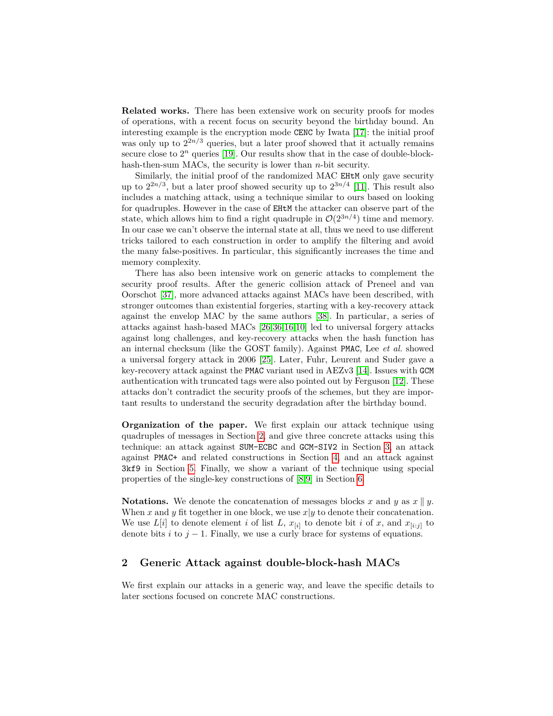**Related works.** There has been extensive work on security proofs for modes of operations, with a recent focus on security beyond the birthday bound. An interesting example is the encryption mode CENC by Iwata [\[17\]](#page-28-8): the initial proof was only up to  $2^{2n/3}$  queries, but a later proof showed that it actually remains secure close to  $2^n$  queries [\[19\]](#page-28-9). Our results show that in the case of double-blockhash-then-sum MACs, the security is lower than *n*-bit security.

Similarly, the initial proof of the randomized MAC EHtM only gave security up to  $2^{2n/3}$ , but a later proof showed security up to  $2^{3n/4}$  [\[11\]](#page-28-10). This result also includes a matching attack, using a technique similar to ours based on looking for quadruples. However in the case of EHtM the attacker can observe part of the state, which allows him to find a right quadruple in  $\mathcal{O}(2^{3n/4})$  time and memory. In our case we can't observe the internal state at all, thus we need to use different tricks tailored to each construction in order to amplify the filtering and avoid the many false-positives. In particular, this significantly increases the time and memory complexity.

There has also been intensive work on generic attacks to complement the security proof results. After the generic collision attack of Preneel and van Oorschot [\[37\]](#page-29-1), more advanced attacks against MACs have been described, with stronger outcomes than existential forgeries, starting with a key-recovery attack against the envelop MAC by the same authors [\[38\]](#page-29-11). In particular, a series of attacks against hash-based MACs [\[26](#page-28-11)[,36,](#page-29-12)[16,](#page-28-12)[10\]](#page-27-8) led to universal forgery attacks against long challenges, and key-recovery attacks when the hash function has an internal checksum (like the GOST family). Against PMAC, Lee *et al.* showed a universal forgery attack in 2006 [\[25\]](#page-28-13). Later, Fuhr, Leurent and Suder gave a key-recovery attack against the PMAC variant used in AEZv3 [\[14\]](#page-28-14). Issues with GCM authentication with truncated tags were also pointed out by Ferguson [\[12\]](#page-28-15). These attacks don't contradict the security proofs of the schemes, but they are important results to understand the security degradation after the birthday bound.

**Organization of the paper.** We first explain our attack technique using quadruples of messages in Section [2,](#page-3-0) and give three concrete attacks using this technique: an attack against SUM-ECBC and GCM-SIV2 in Section [3,](#page-7-0) an attack against PMAC+ and related constructions in Section [4,](#page-13-0) and an attack against 3kf9 in Section [5.](#page-16-0) Finally, we show a variant of the technique using special properties of the single-key constructions of [\[8,](#page-27-7)[9\]](#page-27-6) in Section [6.](#page-21-0)

**Notations.** We denote the concatenation of messages blocks *x* and *y* as  $x \parallel y$ . When *x* and *y* fit together in one block, we use  $x|y$  to denote their concatenation. We use  $L[i]$  to denote element *i* of list  $L$ ,  $x_{[i]}$  to denote bit *i* of *x*, and  $x_{[i:j]}$  to denote bits *i* to  $j - 1$ . Finally, we use a curly brace for systems of equations.

# <span id="page-3-0"></span>**2 Generic Attack against double-block-hash MACs**

We first explain our attacks in a generic way, and leave the specific details to later sections focused on concrete MAC constructions.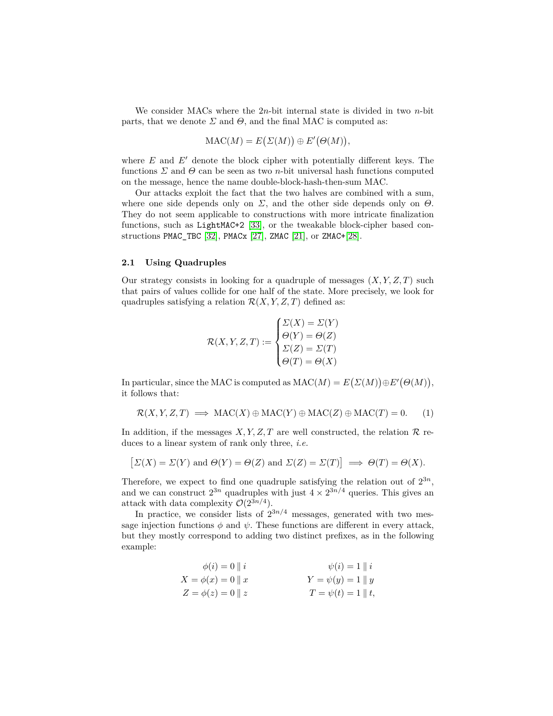We consider MACs where the 2*n*-bit internal state is divided in two *n*-bit parts, that we denote  $\Sigma$  and  $\Theta$ , and the final MAC is computed as:

$$
\text{MAC}(M) = E(\Sigma(M)) \oplus E'(\Theta(M)),
$$

where  $E$  and  $E'$  denote the block cipher with potentially different keys. The functions *Σ* and *Θ* can be seen as two *n*-bit universal hash functions computed on the message, hence the name double-block-hash-then-sum MAC.

Our attacks exploit the fact that the two halves are combined with a sum, where one side depends only on  $\Sigma$ , and the other side depends only on  $\Theta$ . They do not seem applicable to constructions with more intricate finalization functions, such as LightMAC+2 [\[33\]](#page-29-8), or the tweakable block-cipher based con-structions PMAC\_TBC [\[32\]](#page-29-9), PMAC $x$  [\[27\]](#page-28-5), ZMAC [\[21\]](#page-28-6), or ZMAC+[\[28\]](#page-28-7).

#### **2.1 Using Quadruples**

Our strategy consists in looking for a quadruple of messages  $(X, Y, Z, T)$  such that pairs of values collide for one half of the state. More precisely, we look for quadruples satisfying a relation  $\mathcal{R}(X, Y, Z, T)$  defined as:

$$
\mathcal{R}(X, Y, Z, T) := \begin{cases} \Sigma(X) = \Sigma(Y) \\ \Theta(Y) = \Theta(Z) \\ \Sigma(Z) = \Sigma(T) \\ \Theta(T) = \Theta(X) \end{cases}
$$

In particular, since the MAC is computed as  $MAC(M) = E(\Sigma(M)) \oplus E'(\Theta(M)),$ it follows that:

<span id="page-4-0"></span>
$$
\mathcal{R}(X, Y, Z, T) \implies \text{MAC}(X) \oplus \text{MAC}(Y) \oplus \text{MAC}(Z) \oplus \text{MAC}(T) = 0. \tag{1}
$$

In addition, if the messages  $X, Y, Z, T$  are well constructed, the relation  $\mathcal R$  reduces to a linear system of rank only three, *i.e.*

$$
[\varSigma(X) = \varSigma(Y) \text{ and } \Theta(Y) = \Theta(Z) \text{ and } \varSigma(Z) = \varSigma(T)] \implies \Theta(T) = \Theta(X).
$$

Therefore, we expect to find one quadruple satisfying the relation out of  $2^{3n}$ , and we can construct  $2^{3n}$  quadruples with just  $4 \times 2^{3n/4}$  queries. This gives an attack with data complexity  $\mathcal{O}(2^{3n/4})$ .

In practice, we consider lists of  $2^{3n/4}$  messages, generated with two message injection functions  $\phi$  and  $\psi$ . These functions are different in every attack, but they mostly correspond to adding two distinct prefixes, as in the following example:

$$
\phi(i) = 0 \parallel i \qquad \psi(i) = 1 \parallel i X = \phi(x) = 0 \parallel x \qquad \qquad Y = \psi(y) = 1 \parallel y Z = \phi(z) = 0 \parallel z \qquad \qquad T = \psi(t) = 1 \parallel t,
$$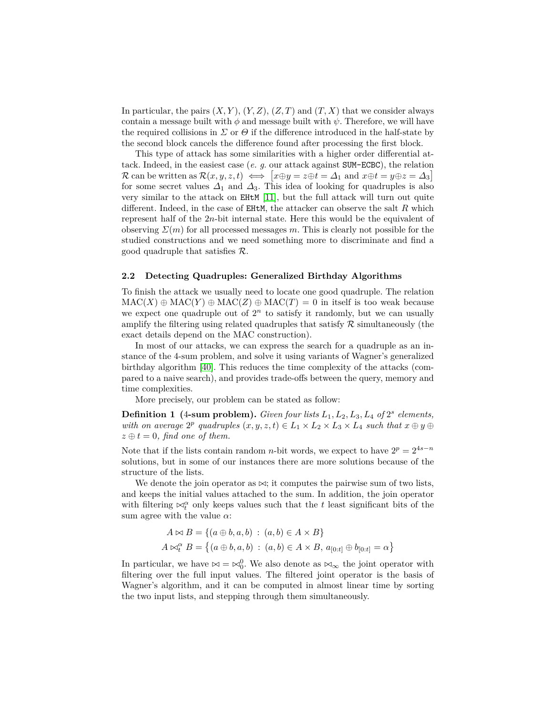In particular, the pairs  $(X, Y), (Y, Z), (Z, T)$  and  $(T, X)$  that we consider always contain a message built with  $\phi$  and message built with  $\psi$ . Therefore, we will have the required collisions in  $\Sigma$  or  $\Theta$  if the difference introduced in the half-state by the second block cancels the difference found after processing the first block.

This type of attack has some similarities with a higher order differential attack. Indeed, in the easiest case (*e. g.* our attack against SUM-ECBC), the relation  $\mathcal{R}$  can be written as  $\mathcal{R}(x, y, z, t) \iff [x \oplus y = z \oplus t = \Delta_1 \text{ and } x \oplus t = y \oplus z = \Delta_3]$ for some secret values  $\Delta_1$  and  $\Delta_3$ . This idea of looking for quadruples is also very similar to the attack on EHtM [\[11\]](#page-28-10), but the full attack will turn out quite different. Indeed, in the case of EHtM, the attacker can observe the salt *R* which represent half of the 2*n*-bit internal state. Here this would be the equivalent of observing *Σ*(*m*) for all processed messages *m*. This is clearly not possible for the studied constructions and we need something more to discriminate and find a good quadruple that satisfies R.

#### <span id="page-5-0"></span>**2.2 Detecting Quadruples: Generalized Birthday Algorithms**

To finish the attack we usually need to locate one good quadruple. The relation  $MAC(X) \oplus MAC(Y) \oplus MAC(Z) \oplus MAC(T) = 0$  in itself is too weak because we expect one quadruple out of  $2^n$  to satisfy it randomly, but we can usually amplify the filtering using related quadruples that satisfy  $\mathcal R$  simultaneously (the exact details depend on the MAC construction).

In most of our attacks, we can express the search for a quadruple as an instance of the 4-sum problem, and solve it using variants of Wagner's generalized birthday algorithm [\[40\]](#page-29-13). This reduces the time complexity of the attacks (compared to a naive search), and provides trade-offs between the query, memory and time complexities.

More precisely, our problem can be stated as follow:

**Definition 1 (**4**-sum problem).** *Given four lists L*1*, L*2*, L*3*, L*<sup>4</sup> *of* 2 *s elements, with on average*  $2^p$  *quadruples*  $(x, y, z, t) \in L_1 \times L_2 \times L_3 \times L_4$  *such that*  $x \oplus y \oplus z$  $z \oplus t = 0$ , find one of them.

Note that if the lists contain random *n*-bit words, we expect to have  $2^p = 2^{4s-n}$ solutions, but in some of our instances there are more solutions because of the structure of the lists.

We denote the join operator as  $\bowtie$ ; it computes the pairwise sum of two lists, and keeps the initial values attached to the sum. In addition, the join operator with filtering  $\bowtie_t^{\alpha}$  only keeps values such that the *t* least significant bits of the sum agree with the value *α*:

$$
A \bowtie B = \{ (a \oplus b, a, b) : (a, b) \in A \times B \}
$$
  

$$
A \bowtie_t^{\alpha} B = \{ (a \oplus b, a, b) : (a, b) \in A \times B, a_{[0:t]} \oplus b_{[0:t]} = \alpha \}
$$

In particular, we have  $\bowtie = \bowtie_0^0$ . We also denote as  $\bowtie_{\infty}$  the joint operator with filtering over the full input values. The filtered joint operator is the basis of Wagner's algorithm, and it can be computed in almost linear time by sorting the two input lists, and stepping through them simultaneously.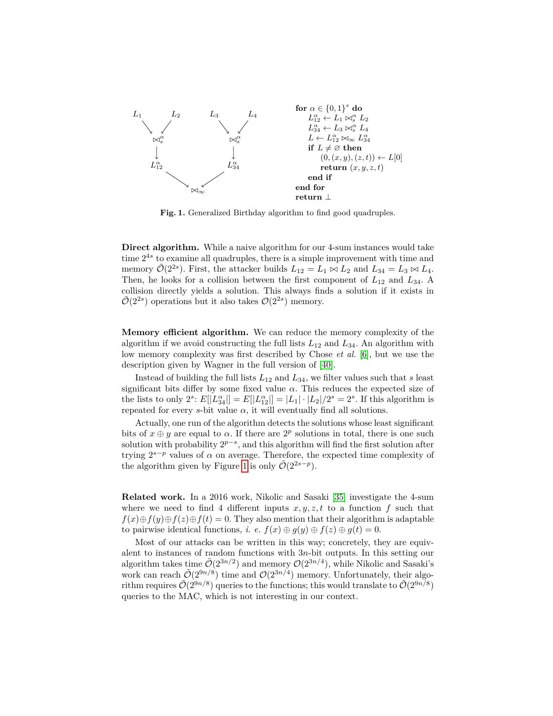

<span id="page-6-0"></span>**Fig. 1.** Generalized Birthday algorithm to find good quadruples.

**Direct algorithm.** While a naive algorithm for our 4-sum instances would take time  $2^{4s}$  to examine all quadruples, there is a simple improvement with time and memory  $\tilde{\mathcal{O}}(2^{2s})$ . First, the attacker builds  $L_{12} = L_1 \bowtie L_2$  and  $L_{34} = L_3 \bowtie L_4$ . Then, he looks for a collision between the first component of  $L_{12}$  and  $L_{34}$ . A collision directly yields a solution. This always finds a solution if it exists in  $\tilde{\mathcal{O}}(2^{2s})$  operations but it also takes  $\mathcal{O}(2^{2s})$  memory.

**Memory efficient algorithm.** We can reduce the memory complexity of the algorithm if we avoid constructing the full lists  $L_{12}$  and  $L_{34}$ . An algorithm with low memory complexity was first described by Chose *et al.* [\[6\]](#page-27-9), but we use the description given by Wagner in the full version of [\[40\]](#page-29-13).

Instead of building the full lists  $L_{12}$  and  $L_{34}$ , we filter values such that *s* least significant bits differ by some fixed value  $\alpha$ . This reduces the expected size of the lists to only  $2^s$ :  $E[|L_{34}^{\alpha}|] = E[|L_{12}^{\alpha}|] = |L_1| \cdot |L_2|/2^s = 2^s$ . If this algorithm is repeated for every *s*-bit value  $\alpha$ , it will eventually find all solutions.

Actually, one run of the algorithm detects the solutions whose least significant bits of  $x \oplus y$  are equal to  $\alpha$ . If there are  $2^p$  solutions in total, there is one such solution with probability  $2^{p-s}$ , and this algorithm will find the first solution after trying  $2^{s-p}$  values of  $\alpha$  on average. Therefore, the expected time complexity of the algorithm given by Figure [1](#page-6-0) is only  $\tilde{\mathcal{O}}(2^{2s-p})$ .

**Related work.** In a 2016 work, Nikolic and Sasaki [\[35\]](#page-29-14) investigate the 4-sum where we need to find 4 different inputs  $x, y, z, t$  to a function f such that  $f(x) \oplus f(y) \oplus f(z) \oplus f(t) = 0$ . They also mention that their algorithm is adaptable to pairwise identical functions, *i. e.*  $f(x) \oplus g(y) \oplus f(z) \oplus g(t) = 0$ .

Most of our attacks can be written in this way; concretely, they are equivalent to instances of random functions with 3*n*-bit outputs. In this setting our algorithm takes time  $\tilde{\mathcal{O}}(2^{3n/2})$  and memory  $\mathcal{O}(2^{3n/4})$ , while Nikolic and Sasaki's work can reach  $\tilde{\mathcal{O}}(2^{9n/8})$  time and  $\mathcal{O}(2^{3n/4})$  memory. Unfortunately, their algorithm requires  $\tilde{\mathcal{O}}(2^{9n/8})$  queries to the functions; this would translate to  $\tilde{\mathcal{O}}(2^{9n/8})$ queries to the MAC, which is not interesting in our context.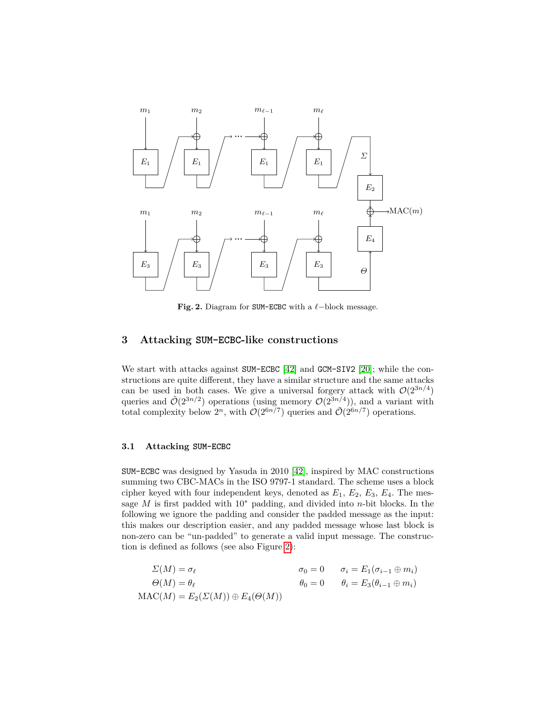

<span id="page-7-1"></span>Fig. 2. Diagram for SUM-ECBC with a  $\ell$ −block message.

# <span id="page-7-0"></span>**3 Attacking SUM-ECBC-like constructions**

We start with attacks against SUM-ECBC [\[42\]](#page-29-5) and GCM-SIV2 [\[20\]](#page-28-4); while the constructions are quite different, they have a similar structure and the same attacks can be used in both cases. We give a universal forgery attack with  $\mathcal{O}(2^{3n/4})$ queries and  $\tilde{\mathcal{O}}(2^{3n/2})$  operations (using memory  $\mathcal{O}(2^{3n/4})$ ), and a variant with total complexity below  $2^n$ , with  $\mathcal{O}(2^{6n/7})$  queries and  $\mathcal{O}(2^{6n/7})$  operations.

#### **3.1 Attacking SUM-ECBC**

SUM-ECBC was designed by Yasuda in 2010 [\[42\]](#page-29-5), inspired by MAC constructions summing two CBC-MACs in the ISO 9797-1 standard. The scheme uses a block cipher keyed with four independent keys, denoted as  $E_1$ ,  $E_2$ ,  $E_3$ ,  $E_4$ . The message *M* is first padded with 10<sup>∗</sup> padding, and divided into *n*-bit blocks. In the following we ignore the padding and consider the padded message as the input: this makes our description easier, and any padded message whose last block is non-zero can be "un-padded" to generate a valid input message. The construction is defined as follows (see also Figure [2\)](#page-7-1):

$$
\Sigma(M) = \sigma_{\ell} \qquad \sigma_0 = 0 \qquad \sigma_i = E_1(\sigma_{i-1} \oplus m_i)
$$
  
\n
$$
\Theta(M) = \theta_{\ell} \qquad \qquad \theta_0 = 0 \qquad \theta_i = E_3(\theta_{i-1} \oplus m_i)
$$
  
\n
$$
\text{MAC}(M) = E_2(\Sigma(M)) \oplus E_4(\Theta(M))
$$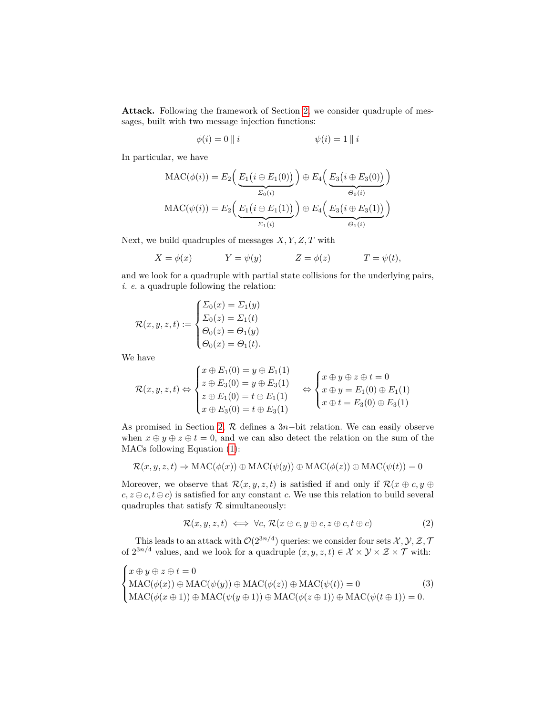**Attack.** Following the framework of Section [2,](#page-3-0) we consider quadruple of messages, built with two message injection functions:

$$
\phi(i) = 0 \parallel i \qquad \qquad \psi(i) = 1 \parallel i
$$

In particular, we have

$$
\text{MAC}(\phi(i)) = E_2\left(\underbrace{E_1(i \oplus E_1(0))}_{\Sigma_0(i)}\right) \oplus E_4\left(\underbrace{E_3(i \oplus E_3(0))}_{\Theta_0(i)}\right)
$$

$$
\text{MAC}(\psi(i)) = E_2\left(\underbrace{E_1(i \oplus E_1(1))}_{\Sigma_1(i)}\right) \oplus E_4\left(\underbrace{E_3(i \oplus E_3(1))}_{\Theta_1(i)}\right)
$$

Next, we build quadruples of messages *X, Y, Z, T* with

$$
X = \phi(x) \qquad \qquad Y = \psi(y) \qquad \qquad Z = \phi(z) \qquad \qquad T = \psi(t),
$$

and we look for a quadruple with partial state collisions for the underlying pairs, *i. e.* a quadruple following the relation:

$$
\mathcal{R}(x, y, z, t) := \begin{cases} \Sigma_0(x) = \Sigma_1(y) \\ \Sigma_0(z) = \Sigma_1(t) \\ \Theta_0(z) = \Theta_1(y) \\ \Theta_0(x) = \Theta_1(t). \end{cases}
$$

We have

$$
\mathcal{R}(x, y, z, t) \Leftrightarrow \begin{cases} x \oplus E_1(0) = y \oplus E_1(1) \\ z \oplus E_3(0) = y \oplus E_3(1) \\ z \oplus E_1(0) = t \oplus E_1(1) \\ x \oplus E_3(0) = t \oplus E_3(1) \end{cases} \Leftrightarrow \begin{cases} x \oplus y \oplus z \oplus t = 0 \\ x \oplus y = E_1(0) \oplus E_1(1) \\ x \oplus t = E_3(0) \oplus E_3(1) \end{cases}
$$

As promised in Section [2,](#page-3-0)  $R$  defines a 3*n*−bit relation. We can easily observe when  $x \oplus y \oplus z \oplus t = 0$ , and we can also detect the relation on the sum of the MACs following Equation [\(1\)](#page-4-0):

$$
\mathcal{R}(x, y, z, t) \Rightarrow \text{MAC}(\phi(x)) \oplus \text{MAC}(\psi(y)) \oplus \text{MAC}(\phi(z)) \oplus \text{MAC}(\psi(t)) = 0
$$

Moreover, we observe that  $\mathcal{R}(x, y, z, t)$  is satisfied if and only if  $\mathcal{R}(x \oplus c, y \oplus t)$  $c, z \oplus c, t \oplus c$  is satisfied for any constant *c*. We use this relation to build several quadruples that satisfy  $R$  simultaneously:

<span id="page-8-1"></span><span id="page-8-0"></span>
$$
\mathcal{R}(x, y, z, t) \iff \forall c, \, \mathcal{R}(x \oplus c, y \oplus c, z \oplus c, t \oplus c) \tag{2}
$$

This leads to an attack with  $\mathcal{O}(2^{3n/4})$  queries: we consider four sets  $\mathcal{X}, \mathcal{Y}, \mathcal{Z}, \mathcal{T}$ of  $2^{3n/4}$  values, and we look for a quadruple  $(x, y, z, t) \in \mathcal{X} \times \mathcal{Y} \times \mathcal{Z} \times \mathcal{T}$  with:

$$
\begin{cases}\nx \oplus y \oplus z \oplus t = 0 \\
\text{MAC}(\phi(x)) \oplus \text{MAC}(\psi(y)) \oplus \text{MAC}(\phi(z)) \oplus \text{MAC}(\psi(t)) = 0 \\
\text{MAC}(\phi(x \oplus 1)) \oplus \text{MAC}(\psi(y \oplus 1)) \oplus \text{MAC}(\phi(z \oplus 1)) \oplus \text{MAC}(\psi(t \oplus 1)) = 0.\n\end{cases}
$$
\n(3)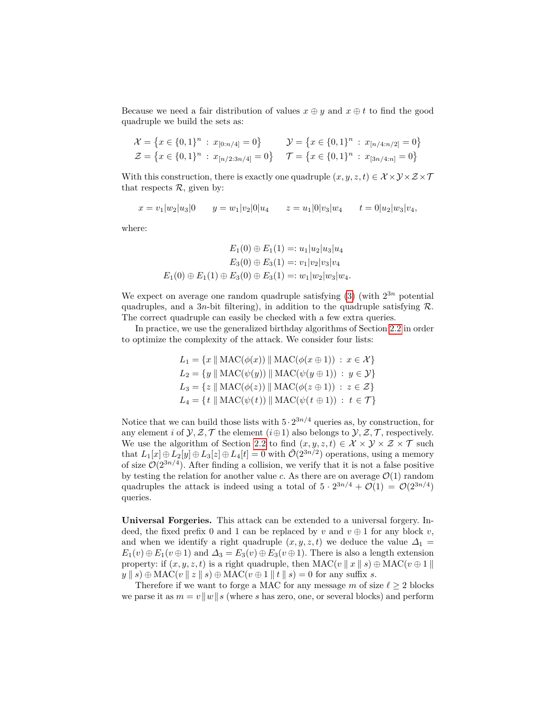Because we need a fair distribution of values  $x \oplus y$  and  $x \oplus t$  to find the good quadruple we build the sets as:

$$
\mathcal{X} = \left\{ x \in \{0, 1\}^n : x_{[0:n/4]} = 0 \right\} \qquad \mathcal{Y} = \left\{ x \in \{0, 1\}^n : x_{[n/4:n/2]} = 0 \right\}
$$
  

$$
\mathcal{Z} = \left\{ x \in \{0, 1\}^n : x_{[n/2:3n/4]} = 0 \right\} \qquad \mathcal{T} = \left\{ x \in \{0, 1\}^n : x_{[3n/4:n]} = 0 \right\}
$$

With this construction, there is exactly one quadruple  $(x, y, z, t) \in \mathcal{X} \times \mathcal{Y} \times \mathcal{Z} \times \mathcal{T}$ that respects  $R$ , given by:

 $x = v_1|w_2|u_3|0$   $y = w_1|v_2|0|u_4$   $z = u_1|0|v_3|w_4$   $t = 0|u_2|w_3|v_4$ ,

where:

$$
E_1(0) \oplus E_1(1) =: u_1|u_2|u_3|u_4
$$
  
\n
$$
E_3(0) \oplus E_3(1) =: v_1|v_2|v_3|v_4
$$
  
\n
$$
E_1(0) \oplus E_1(1) \oplus E_3(0) \oplus E_3(1) =: w_1|w_2|w_3|w_4.
$$

We expect on average one random quadruple satisfying [\(3\)](#page-8-0) (with  $2^{3n}$  potential quadruples, and a  $3n$ -bit filtering), in addition to the quadruple satisfying  $\mathcal{R}$ . The correct quadruple can easily be checked with a few extra queries.

In practice, we use the generalized birthday algorithms of Section [2.2](#page-5-0) in order to optimize the complexity of the attack. We consider four lists:

$$
L_1 = \{x \mid \text{MAC}(\phi(x)) \mid \text{MAC}(\phi(x \oplus 1)) : x \in \mathcal{X}\}
$$
  
\n
$$
L_2 = \{y \mid \text{MAC}(\psi(y)) \mid \text{MAC}(\psi(y \oplus 1)) : y \in \mathcal{Y}\}
$$
  
\n
$$
L_3 = \{z \mid \text{MAC}(\phi(z)) \mid \text{MAC}(\phi(z \oplus 1)) : z \in \mathcal{Z}\}
$$
  
\n
$$
L_4 = \{t \mid \text{MAC}(\psi(t)) \mid \text{MAC}(\psi(t \oplus 1)) : t \in \mathcal{T}\}
$$

Notice that we can build those lists with  $5 \cdot 2^{3n/4}$  queries as, by construction, for any element *i* of  $\mathcal{Y}, \mathcal{Z}, \mathcal{T}$  the element  $(i \oplus 1)$  also belongs to  $\mathcal{Y}, \mathcal{Z}, \mathcal{T}$ , respectively. We use the algorithm of Section [2.2](#page-5-0) to find  $(x, y, z, t) \in \mathcal{X} \times \mathcal{Y} \times \mathcal{Z} \times \mathcal{T}$  such that  $L_1[x] \oplus L_2[y] \oplus L_3[z] \oplus L_4[t] = 0$  with  $\tilde{\mathcal{O}}(2^{3n/2})$  operations, using a memory of size  $\mathcal{O}(2^{3n/4})$ . After finding a collision, we verify that it is not a false positive by testing the relation for another value  $c$ . As there are on average  $\mathcal{O}(1)$  random quadruples the attack is indeed using a total of  $5 \cdot 2^{3n/4} + \mathcal{O}(1) = \mathcal{O}(2^{3n/4})$ queries.

**Universal Forgeries.** This attack can be extended to a universal forgery. Indeed, the fixed prefix 0 and 1 can be replaced by  $v$  and  $v \oplus 1$  for any block  $v$ , and when we identify a right quadruple  $(x, y, z, t)$  we deduce the value  $\Delta_1 =$  $E_1(v) \oplus E_1(v \oplus 1)$  and  $\Delta_3 = E_3(v) \oplus E_3(v \oplus 1)$ . There is also a length extension property: if  $(x, y, z, t)$  is a right quadruple, then  $MAC(v || x || s) \oplus MAC(v \oplus 1 || s)$  $y \parallel s$   $\oplus$  MAC(*v*  $\parallel z \parallel s$ )  $\oplus$  MAC(*v*  $\oplus$  1  $\parallel t \parallel s$ ) = 0 for any suffix *s*.

Therefore if we want to forge a MAC for any message *m* of size  $\ell \geq 2$  blocks we parse it as  $m = v || w || s$  (where *s* has zero, one, or several blocks) and perform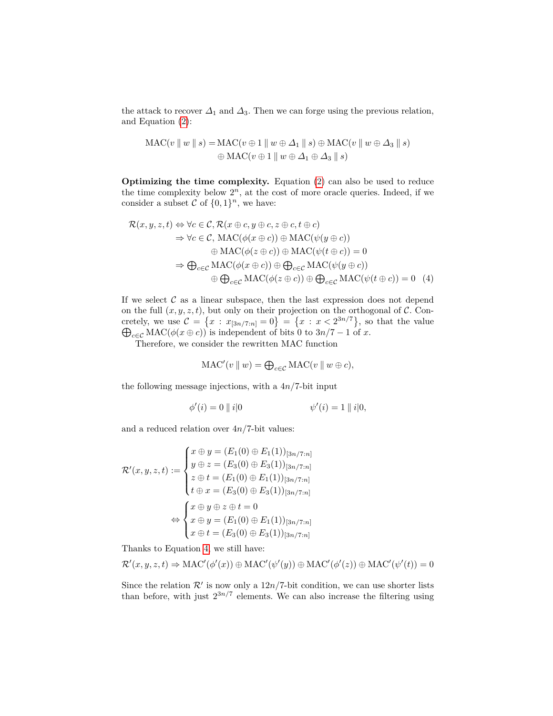the attack to recover  $\Delta_1$  and  $\Delta_3$ . Then we can forge using the previous relation, and Equation [\(2\)](#page-8-1):

$$
\text{MAC}(v \parallel w \parallel s) = \text{MAC}(v \oplus 1 \parallel w \oplus \Delta_1 \parallel s) \oplus \text{MAC}(v \parallel w \oplus \Delta_3 \parallel s)
$$
  

$$
\oplus \text{MAC}(v \oplus 1 \parallel w \oplus \Delta_1 \oplus \Delta_3 \parallel s)
$$

<span id="page-10-1"></span>**Optimizing the time complexity.** Equation [\(2\)](#page-8-1) can also be used to reduce the time complexity below  $2^n$ , at the cost of more oracle queries. Indeed, if we consider a subset C of  $\{0,1\}^n$ , we have:

$$
\mathcal{R}(x, y, z, t) \Leftrightarrow \forall c \in \mathcal{C}, \mathcal{R}(x \oplus c, y \oplus c, z \oplus c, t \oplus c)
$$
  
\n
$$
\Rightarrow \forall c \in \mathcal{C}, \text{MAC}(\phi(x \oplus c)) \oplus \text{MAC}(\psi(y \oplus c))
$$
  
\n
$$
\oplus \text{MAC}(\phi(z \oplus c)) \oplus \text{MAC}(\psi(t \oplus c)) = 0
$$
  
\n
$$
\Rightarrow \bigoplus_{c \in \mathcal{C}} \text{MAC}(\phi(x \oplus c)) \oplus \bigoplus_{c \in \mathcal{C}} \text{MAC}(\psi(y \oplus c))
$$
  
\n
$$
\oplus \bigoplus_{c \in \mathcal{C}} \text{MAC}(\phi(z \oplus c)) \oplus \bigoplus_{c \in \mathcal{C}} \text{MAC}(\psi(t \oplus c)) = 0 \quad (4)
$$

If we select  $\mathcal C$  as a linear subspace, then the last expression does not depend on the full  $(x, y, z, t)$ , but only on their projection on the orthogonal of C. Concretely, we use  $\mathcal{C} = \{x : x_{[3n/7:n]} = 0\} = \{x : x < 2^{3n/7}\}\$  $\oplus$ , so that the value  $c \in \mathcal{C}$  MAC( $\phi(x \oplus c)$ ) is independent of bits 0 to 3*n*/7 − 1 of *x*.

Therefore, we consider the rewritten MAC function

<span id="page-10-0"></span>
$$
\text{MAC}'(v \parallel w) = \bigoplus_{c \in \mathcal{C}} \text{MAC}(v \parallel w \oplus c),
$$

the following message injections, with a 4*n/*7-bit input

$$
\phi'(i) = 0 \parallel i \parallel 0 \qquad \psi'(i) = 1 \parallel i \parallel 0,
$$

and a reduced relation over 4*n/*7-bit values:

$$
\mathcal{R}'(x, y, z, t) := \begin{cases} x \oplus y = (E_1(0) \oplus E_1(1))_{[3n/7:n]} \\ y \oplus z = (E_3(0) \oplus E_3(1))_{[3n/7:n]} \\ z \oplus t = (E_1(0) \oplus E_1(1))_{[3n/7:n]} \\ t \oplus x = (E_3(0) \oplus E_3(1))_{[3n/7:n]} \\ x \oplus y = (E_1(0) \oplus E_1(1))_{[3n/7:n]} \\ x \oplus t = (E_3(0) \oplus E_3(1))_{[3n/7:n]} \end{cases}
$$

Thanks to Equation [4,](#page-10-0) we still have:

$$
\mathcal{R}'(x, y, z, t) \Rightarrow \text{MAC}'(\phi'(x)) \oplus \text{MAC}'(\psi'(y)) \oplus \text{MAC}'(\phi'(z)) \oplus \text{MAC}'(\psi'(t)) = 0
$$

Since the relation  $\mathcal{R}'$  is now only a  $12n/7$ -bit condition, we can use shorter lists than before, with just  $2^{3n/7}$  elements. We can also increase the filtering using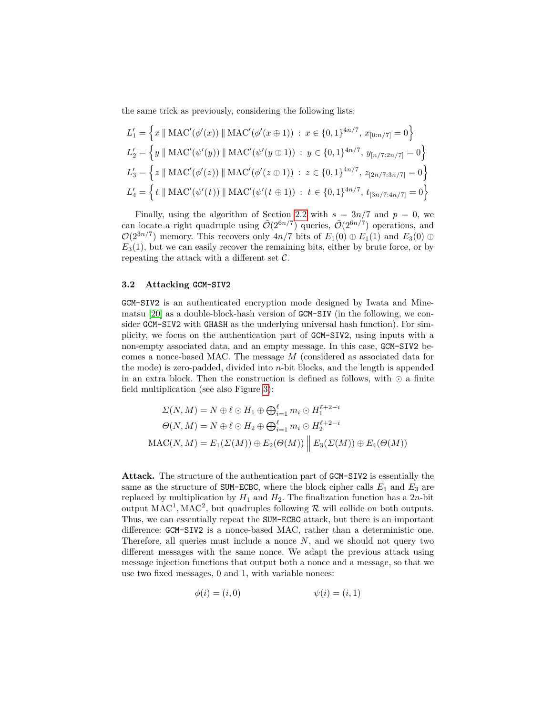the same trick as previously, considering the following lists:

$$
L'_{1} = \left\{ x \mid \text{MAC}'(\phi'(x)) \mid \text{MAC}'(\phi'(x \oplus 1)) : x \in \{0, 1\}^{4n/7}, x_{[0:n/7]} = 0 \right\}
$$
  
\n
$$
L'_{2} = \left\{ y \mid \text{MAC}'(\psi'(y)) \mid \text{MAC}'(\psi'(y \oplus 1)) : y \in \{0, 1\}^{4n/7}, y_{[n/7:2n/7]} = 0 \right\}
$$
  
\n
$$
L'_{3} = \left\{ z \mid \text{MAC}'(\phi'(z)) \mid \text{MAC}'(\phi'(z \oplus 1)) : z \in \{0, 1\}^{4n/7}, z_{[2n/7:3n/7]} = 0 \right\}
$$
  
\n
$$
L'_{4} = \left\{ t \mid \text{MAC}'(\psi'(t)) \mid \text{MAC}'(\psi'(t \oplus 1)) : t \in \{0, 1\}^{4n/7}, t_{[3n/7:4n/7]} = 0 \right\}
$$

Finally, using the algorithm of Section [2.2](#page-5-0) with  $s = 3n/7$  and  $p = 0$ , we can locate a right quadruple using  $\tilde{\mathcal{O}}(2^{6n/7})$  queries,  $\tilde{\mathcal{O}}(2^{6n/7})$  operations, and  $\mathcal{O}(2^{3n/7})$  memory. This recovers only  $4n/7$  bits of  $E_1(0) \oplus E_1(1)$  and  $E_3(0) \oplus E_2(0)$  $E_3(1)$ , but we can easily recover the remaining bits, either by brute force, or by repeating the attack with a different set  $C$ .

# **3.2 Attacking GCM-SIV2**

GCM-SIV2 is an authenticated encryption mode designed by Iwata and Minematsu [\[20\]](#page-28-4) as a double-block-hash version of GCM-SIV (in the following, we consider GCM-SIV2 with GHASH as the underlying universal hash function). For simplicity, we focus on the authentication part of GCM-SIV2, using inputs with a non-empty associated data, and an empty message. In this case, GCM-SIV2 becomes a nonce-based MAC. The message *M* (considered as associated data for the mode) is zero-padded, divided into *n*-bit blocks, and the length is appended in an extra block. Then the construction is defined as follows, with  $\odot$  a finite field multiplication (see also Figure [3\)](#page-12-0):

$$
\Sigma(N, M) = N \oplus \ell \odot H_1 \oplus \bigoplus_{i=1}^{\ell} m_i \odot H_1^{\ell+2-i}
$$

$$
\Theta(N, M) = N \oplus \ell \odot H_2 \oplus \bigoplus_{i=1}^{\ell} m_i \odot H_2^{\ell+2-i}
$$

$$
\text{MAC}(N, M) = E_1(\Sigma(M)) \oplus E_2(\Theta(M)) \parallel E_3(\Sigma(M)) \oplus E_4(\Theta(M))
$$

**Attack.** The structure of the authentication part of GCM-SIV2 is essentially the same as the structure of SUM-ECBC, where the block cipher calls  $E_1$  and  $E_3$  are replaced by multiplication by  $H_1$  and  $H_2$ . The finalization function has a 2*n*-bit output  $MAC<sup>1</sup>$ ,  $MAC<sup>2</sup>$ , but quadruples following  $R$  will collide on both outputs. Thus, we can essentially repeat the SUM-ECBC attack, but there is an important difference: GCM-SIV2 is a nonce-based MAC, rather than a deterministic one. Therefore, all queries must include a nonce *N*, and we should not query two different messages with the same nonce. We adapt the previous attack using message injection functions that output both a nonce and a message, so that we use two fixed messages, 0 and 1, with variable nonces:

$$
\phi(i) = (i, 0)
$$
  $\psi(i) = (i, 1)$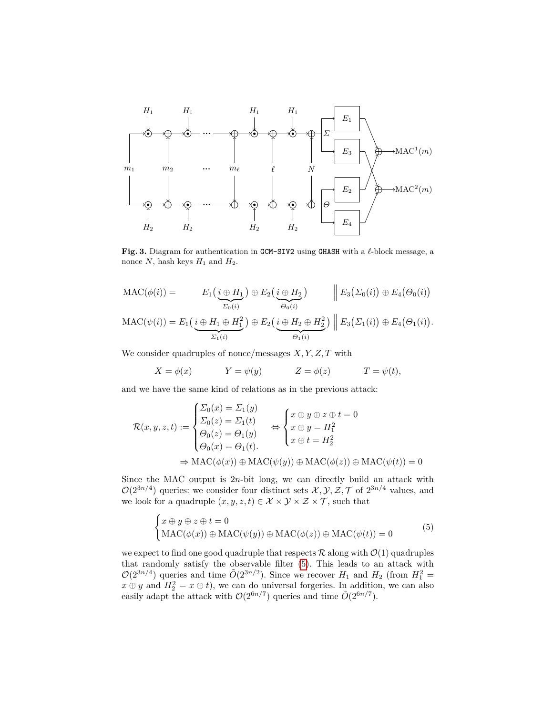

<span id="page-12-0"></span>Fig. 3. Diagram for authentication in GCM-SIV2 using GHASH with a  $\ell$ -block message, a nonce  $N$ , hash keys  $H_1$  and  $H_2$ .

$$
\begin{aligned}\n\text{MAC}(\phi(i)) &= E_1\left(\underbrace{i \oplus H_1}_{\Sigma_0(i)}\right) \oplus E_2\left(\underbrace{i \oplus H_2}_{\Theta_0(i)}\right) & \quad \left\| E_3\left(\Sigma_0(i)\right) \oplus E_4\left(\Theta_0(i)\right) \\
\text{MAC}(\psi(i)) &= E_1\left(\underbrace{i \oplus H_1 \oplus H_1^2}_{\Sigma_1(i)}\right) \oplus E_2\left(\underbrace{i \oplus H_2 \oplus H_2^2}_{\Theta_1(i)}\right) & \left\| E_3\left(\Sigma_1(i)\right) \oplus E_4\left(\Theta_1(i)\right).\n\end{aligned}
$$

We consider quadruples of nonce/messages *X, Y, Z, T* with

$$
X = \phi(x) \qquad Y = \psi(y) \qquad Z = \phi(z) \qquad T = \psi(t),
$$

and we have the same kind of relations as in the previous attack:

$$
\mathcal{R}(x, y, z, t) := \begin{cases} \Sigma_0(x) = \Sigma_1(y) \\ \Sigma_0(z) = \Sigma_1(t) \\ \Theta_0(z) = \Theta_1(y) \\ \Theta_0(x) = \Theta_1(t). \end{cases} \Leftrightarrow \begin{cases} x \oplus y \oplus z \oplus t = 0 \\ x \oplus y = H_1^2 \\ x \oplus t = H_2^2 \end{cases}
$$

$$
\Rightarrow \text{MAC}(\phi(x)) \oplus \text{MAC}(\psi(y)) \oplus \text{MAC}(\phi(z)) \oplus \text{MAC}(\psi(t)) = 0
$$

Since the MAC output is 2*n*-bit long, we can directly build an attack with  $\mathcal{O}(2^{3n/4})$  queries: we consider four distinct sets  $\mathcal{X}, \mathcal{Y}, \mathcal{Z}, \mathcal{T}$  of  $2^{3n/4}$  values, and we look for a quadruple  $(x, y, z, t) \in \mathcal{X} \times \mathcal{Y} \times \mathcal{Z} \times \mathcal{T}$ , such that

<span id="page-12-1"></span>
$$
\begin{cases} x \oplus y \oplus z \oplus t = 0 \\ \text{MAC}(\phi(x)) \oplus \text{MAC}(\psi(y)) \oplus \text{MAC}(\phi(z)) \oplus \text{MAC}(\psi(t)) = 0 \end{cases}
$$
 (5)

we expect to find one good quadruple that respects  $\mathcal R$  along with  $\mathcal O(1)$  quadruples that randomly satisfy the observable filter [\(5\)](#page-12-1). This leads to an attack with  $\mathcal{O}(2^{3n/4})$  queries and time  $\tilde{O}(2^{3n/2})$ . Since we recover  $H_1$  and  $H_2$  (from  $H_1^2$  =  $x \oplus y$  and  $H_2^2 = x \oplus t$ , we can do universal forgeries. In addition, we can also easily adapt the attack with  $\mathcal{O}(2^{6n/7})$  queries and time  $O(2^{6n/7})$ .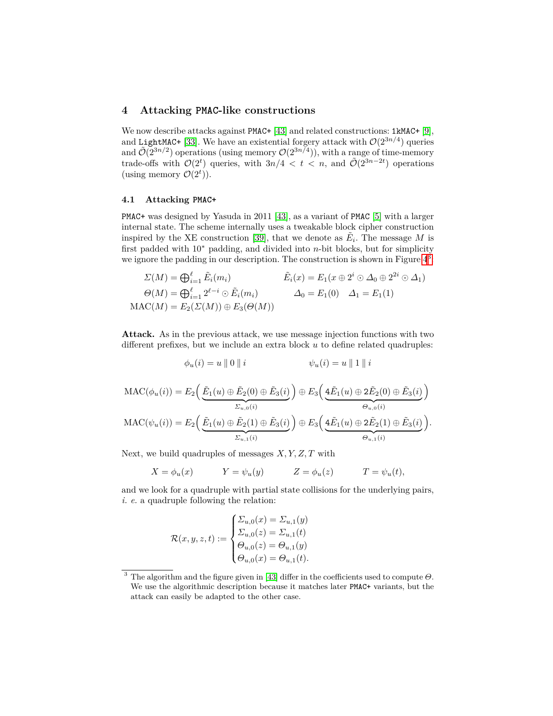# <span id="page-13-0"></span>**4 Attacking PMAC-like constructions**

We now describe attacks against PMAC+ [\[43\]](#page-29-6) and related constructions: 1kMAC+ [\[9\]](#page-27-6), and LightMAC+ [\[33\]](#page-29-8). We have an existential forgery attack with  $\mathcal{O}(2^{3n/4})$  queries and  $\tilde{\mathcal{O}}(2^{3n/2})$  operations (using memory  $\mathcal{O}(2^{3n/4})$ ), with a range of time-memory trade-offs with  $\mathcal{O}(2^t)$  queries, with  $3n/4 < t < n$ , and  $\tilde{\mathcal{O}}(2^{3n-2t})$  operations (using memory  $\mathcal{O}(2^t)$ ).

#### **4.1 Attacking PMAC+**

PMAC+ was designed by Yasuda in 2011 [\[43\]](#page-29-6), as a variant of PMAC [\[5\]](#page-27-1) with a larger internal state. The scheme internally uses a tweakable block cipher construction inspired by the XE construction [\[39\]](#page-29-15), that we denote as  $E_i$ . The message M is first padded with 10<sup>∗</sup> padding, and divided into *n*-bit blocks, but for simplicity we ignore the padding in our description. The construction is shown in Figure  $4<sup>3</sup>$  $4<sup>3</sup>$  $4<sup>3</sup>$ :

$$
\Sigma(M) = \bigoplus_{i=1}^{\ell} \tilde{E}_i(m_i) \qquad \qquad \tilde{E}_i(x) = E_1(x \oplus 2^i \odot \Delta_0 \oplus 2^{2i} \odot \Delta_1)
$$
  
\n
$$
\Theta(M) = \bigoplus_{i=1}^{\ell} 2^{\ell-i} \odot \tilde{E}_i(m_i) \qquad \qquad \Delta_0 = E_1(0) \quad \Delta_1 = E_1(1)
$$
  
\n
$$
\text{MAC}(M) = E_2(\Sigma(M)) \oplus E_3(\Theta(M))
$$

**Attack.** As in the previous attack, we use message injection functions with two different prefixes, but we include an extra block *u* to define related quadruples:

$$
\phi_u(i) = u \|\,0\,\| \,i \qquad \qquad \psi_u(i) = u \|\,1\,\| \,i
$$

$$
\begin{split} \text{MAC}(\phi_u(i)) &= E_2\Big(\underbrace{\tilde{E}_1(u) \oplus \tilde{E}_2(0) \oplus \tilde{E}_3(i)}_{\Sigma_{u,0}(i)}\Big) \oplus E_3\Big(\underbrace{4\tilde{E}_1(u) \oplus 2\tilde{E}_2(0) \oplus \tilde{E}_3(i)}_{\Theta_{u,0}(i)}\Big) \\ \text{MAC}(\psi_u(i)) &= E_2\Big(\underbrace{\tilde{E}_1(u) \oplus \tilde{E}_2(1) \oplus \tilde{E}_3(i)}_{\Sigma_{u,1}(i)}\Big) \oplus E_3\Big(\underbrace{4\tilde{E}_1(u) \oplus 2\tilde{E}_2(1) \oplus \tilde{E}_3(i)}_{\Theta_{u,1}(i)}\Big). \end{split}
$$

Next, we build quadruples of messages *X, Y, Z, T* with

$$
X = \phi_u(x) \qquad Y = \psi_u(y) \qquad Z = \phi_u(z) \qquad T = \psi_u(t),
$$

and we look for a quadruple with partial state collisions for the underlying pairs, *i. e.* a quadruple following the relation:

$$
\mathcal{R}(x, y, z, t) := \begin{cases} \Sigma_{u,0}(x) = \Sigma_{u,1}(y) \\ \Sigma_{u,0}(z) = \Sigma_{u,1}(t) \\ \Theta_{u,0}(z) = \Theta_{u,1}(y) \\ \Theta_{u,0}(x) = \Theta_{u,1}(t). \end{cases}
$$

<span id="page-13-1"></span><sup>3</sup> The algorithm and the figure given in [\[43\]](#page-29-6) differ in the coefficients used to compute *Θ*. We use the algorithmic description because it matches later PMAC+ variants, but the attack can easily be adapted to the other case.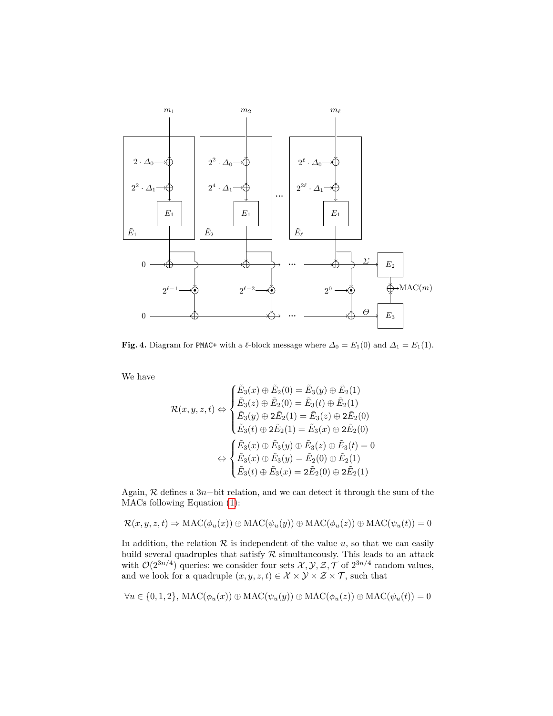

<span id="page-14-0"></span>**Fig. 4.** Diagram for PMAC+ with a  $\ell$ -block message where  $\Delta_0 = E_1(0)$  and  $\Delta_1 = E_1(1)$ .

We have

$$
\mathcal{R}(x, y, z, t) \Leftrightarrow \begin{cases} \tilde{E}_3(x) \oplus \tilde{E}_2(0) = \tilde{E}_3(y) \oplus \tilde{E}_2(1) \\ \tilde{E}_3(z) \oplus \tilde{E}_2(0) = \tilde{E}_3(t) \oplus \tilde{E}_2(1) \\ \tilde{E}_3(y) \oplus 2\tilde{E}_2(1) = \tilde{E}_3(z) \oplus 2\tilde{E}_2(0) \\ \tilde{E}_3(t) \oplus 2\tilde{E}_2(1) = \tilde{E}_3(x) \oplus 2\tilde{E}_2(0) \\ \Leftrightarrow \begin{cases} \tilde{E}_3(x) \oplus \tilde{E}_3(y) \oplus \tilde{E}_3(z) \oplus \tilde{E}_3(t) = 0 \\ \tilde{E}_3(x) \oplus \tilde{E}_3(y) = \tilde{E}_2(0) \oplus \tilde{E}_2(1) \\ \tilde{E}_3(t) \oplus \tilde{E}_3(x) = 2\tilde{E}_2(0) \oplus 2\tilde{E}_2(1) \end{cases} \end{cases}
$$

Again, R defines a 3*n*−bit relation, and we can detect it through the sum of the MACs following Equation [\(1\)](#page-4-0):

$$
\mathcal{R}(x, y, z, t) \Rightarrow \text{MAC}(\phi_u(x)) \oplus \text{MAC}(\psi_u(y)) \oplus \text{MAC}(\phi_u(z)) \oplus \text{MAC}(\psi_u(t)) = 0
$$

In addition, the relation  $R$  is independent of the value  $u$ , so that we can easily build several quadruples that satisfy  $R$  simultaneously. This leads to an attack with  $\mathcal{O}(2^{3n/4})$  queries: we consider four sets  $\mathcal{X}, \mathcal{Y}, \mathcal{Z}, \mathcal{T}$  of  $2^{3n/4}$  random values, and we look for a quadruple  $(x, y, z, t) \in \mathcal{X} \times \mathcal{Y} \times \mathcal{Z} \times \mathcal{T}$ , such that

$$
\forall u \in \{0, 1, 2\}, \, \text{MAC}(\phi_u(x)) \oplus \text{MAC}(\psi_u(y)) \oplus \text{MAC}(\phi_u(z)) \oplus \text{MAC}(\psi_u(t)) = 0
$$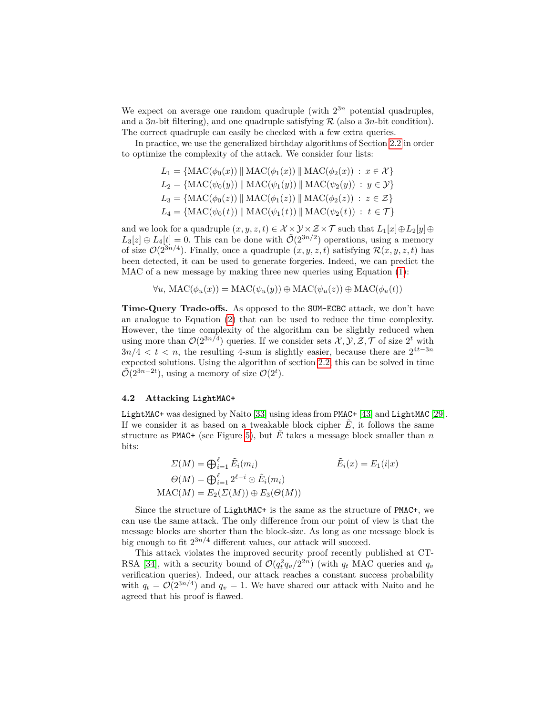We expect on average one random quadruple (with  $2^{3n}$  potential quadruples, and a 3*n*-bit filtering), and one quadruple satisfying  $\mathcal R$  (also a 3*n*-bit condition). The correct quadruple can easily be checked with a few extra queries.

In practice, we use the generalized birthday algorithms of Section [2.2](#page-5-0) in order to optimize the complexity of the attack. We consider four lists:

$$
L_1 = \{ \text{MAC}(\phi_0(x)) \mid \text{MAC}(\phi_1(x)) \mid \text{MAC}(\phi_2(x)) : x \in \mathcal{X} \}
$$
  
\n
$$
L_2 = \{ \text{MAC}(\psi_0(y)) \mid \text{MAC}(\psi_1(y)) \mid \text{MAC}(\psi_2(y)) : y \in \mathcal{Y} \}
$$
  
\n
$$
L_3 = \{ \text{MAC}(\phi_0(z)) \mid \text{MAC}(\phi_1(z)) \mid \text{MAC}(\phi_2(z)) : z \in \mathcal{Z} \}
$$
  
\n
$$
L_4 = \{ \text{MAC}(\psi_0(t)) \mid \text{MAC}(\psi_1(t)) \mid \text{MAC}(\psi_2(t)) : t \in \mathcal{T} \}
$$

and we look for a quadruple  $(x, y, z, t) \in \mathcal{X} \times \mathcal{Y} \times \mathcal{Z} \times \mathcal{T}$  such that  $L_1[x] \oplus L_2[y] \oplus$  $L_3[z] \oplus L_4[t] = 0$ . This can be done with  $\tilde{\mathcal{O}}(2^{3n/2})$  operations, using a memory of size  $\mathcal{O}(2^{3n/4})$ . Finally, once a quadruple  $(x, y, z, t)$  satisfying  $\mathcal{R}(x, y, z, t)$  has been detected, it can be used to generate forgeries. Indeed, we can predict the MAC of a new message by making three new queries using Equation [\(1\)](#page-4-0):

 $\forall u, \, \text{MAC}(\phi_u(x)) = \text{MAC}(\psi_u(y)) \oplus \text{MAC}(\psi_u(z)) \oplus \text{MAC}(\phi_u(t))$ 

**Time-Query Trade-offs.** As opposed to the SUM-ECBC attack, we don't have an analogue to Equation [\(2\)](#page-8-1) that can be used to reduce the time complexity. However, the time complexity of the algorithm can be slightly reduced when using more than  $\mathcal{O}(2^{3n/4})$  queries. If we consider sets  $\mathcal{X}, \mathcal{Y}, \mathcal{Z}, \mathcal{T}$  of size  $2^t$  with  $3n/4 < t < n$ , the resulting 4-sum is slightly easier, because there are  $2^{4t-3n}$ expected solutions. Using the algorithm of section [2.2,](#page-5-0) this can be solved in time  $\tilde{\mathcal{O}}(2^{3n-2t})$ , using a memory of size  $\mathcal{O}(2^t)$ .

#### **4.2 Attacking LightMAC+**

LightMAC+ was designed by Naito [\[33\]](#page-29-8) using ideas from PMAC+ [\[43\]](#page-29-6) and LightMAC [\[29\]](#page-29-0). If we consider it as based on a tweakable block cipher  $E$ , it follows the same structure as PMAC+ (see Figure [5\)](#page-16-1), but  $E$  takes a message block smaller than  $n$ bits:

$$
\Sigma(M) = \bigoplus_{i=1}^{\ell} \tilde{E}_i(m_i) \qquad \qquad \tilde{E}_i(x) = E_1(i|x)
$$
  
\n
$$
\Theta(M) = \bigoplus_{i=1}^{\ell} 2^{\ell-i} \odot \tilde{E}_i(m_i)
$$
  
\n
$$
\text{MAC}(M) = E_2(\Sigma(M)) \oplus E_3(\Theta(M))
$$

Since the structure of LightMAC+ is the same as the structure of PMAC+, we can use the same attack. The only difference from our point of view is that the message blocks are shorter than the block-size. As long as one message block is big enough to fit  $2^{3n/4}$  different values, our attack will succeed.

This attack violates the improved security proof recently published at CT-RSA [\[34\]](#page-29-10), with a security bound of  $\mathcal{O}(q_t^2 q_v/2^{2n})$  (with  $q_t$  MAC queries and  $q_v$ verification queries). Indeed, our attack reaches a constant success probability with  $q_t = \mathcal{O}(2^{3n/4})$  and  $q_v = 1$ . We have shared our attack with Naito and he agreed that his proof is flawed.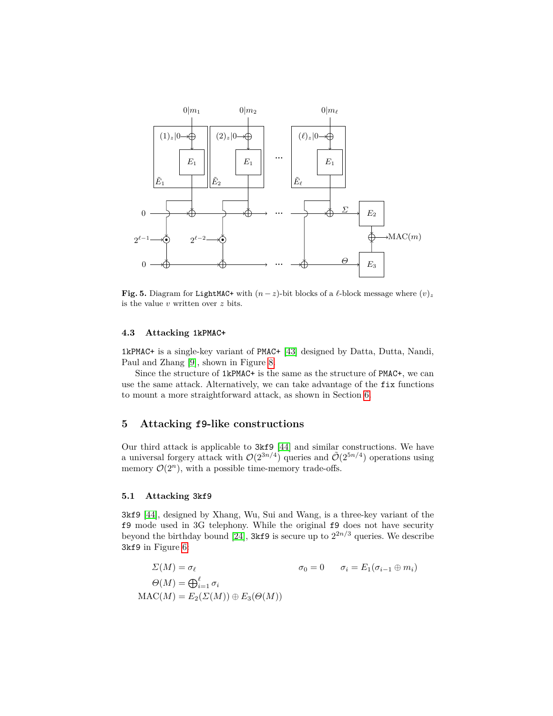

<span id="page-16-1"></span>**Fig. 5.** Diagram for LightMAC+ with  $(n-z)$ -bit blocks of a  $\ell$ -block message where  $(v)_z$ is the value *v* written over *z* bits.

#### **4.3 Attacking 1kPMAC+**

1kPMAC+ is a single-key variant of PMAC+ [\[43\]](#page-29-6) designed by Datta, Dutta, Nandi, Paul and Zhang [\[9\]](#page-27-6), shown in Figure [8.](#page-24-0)

Since the structure of 1kPMAC+ is the same as the structure of PMAC+, we can use the same attack. Alternatively, we can take advantage of the fix functions to mount a more straightforward attack, as shown in Section [6.](#page-21-0)

#### <span id="page-16-0"></span>**5 Attacking f9-like constructions**

Our third attack is applicable to 3kf9 [\[44\]](#page-29-7) and similar constructions. We have a universal forgery attack with  $\mathcal{O}(2^{3n/4})$  queries and  $\mathcal{O}(2^{5n/4})$  operations using memory  $\mathcal{O}(2^n)$ , with a possible time-memory trade-offs.

#### <span id="page-16-2"></span>**5.1 Attacking 3kf9**

3kf9 [\[44\]](#page-29-7), designed by Xhang, Wu, Sui and Wang, is a three-key variant of the f9 mode used in 3G telephony. While the original f9 does not have security beyond the birthday bound [\[24\]](#page-28-16), 3kf9 is secure up to 2 <sup>2</sup>*n/*<sup>3</sup> queries. We describe 3kf9 in Figure [6:](#page-18-0)

$$
\Sigma(M) = \sigma_{\ell} \qquad \qquad \sigma_0 = 0 \qquad \sigma_i = E_1(\sigma_{i-1} \oplus m_i)
$$

$$
\Theta(M) = \bigoplus_{i=1}^{\ell} \sigma_i
$$

$$
\text{MAC}(M) = E_2(\Sigma(M)) \oplus E_3(\Theta(M))
$$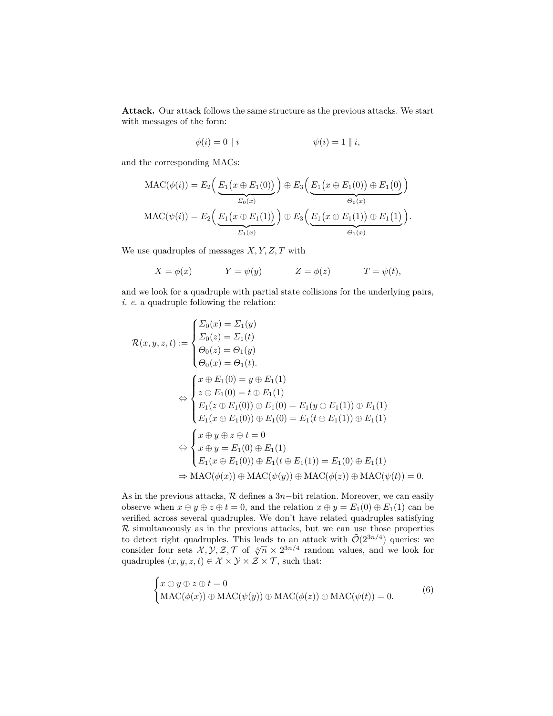**Attack.** Our attack follows the same structure as the previous attacks. We start with messages of the form:

$$
\phi(i) = 0 \parallel i \qquad \qquad \psi(i) = 1 \parallel i,
$$

and the corresponding MACs:

$$
MAC(\phi(i)) = E_2 \Big( \underbrace{E_1(x \oplus E_1(0))}_{\Sigma_0(x)} \Big) \oplus E_3 \Big( \underbrace{E_1(x \oplus E_1(0)) \oplus E_1(0)}_{\Theta_0(x)} \Big)
$$
  

$$
MAC(\psi(i)) = E_2 \Big( \underbrace{E_1(x \oplus E_1(1))}_{\Sigma_1(x)} \Big) \oplus E_3 \Big( \underbrace{E_1(x \oplus E_1(1)) \oplus E_1(1)}_{\Theta_1(x)} \Big).
$$

We use quadruples of messages *X, Y, Z, T* with

$$
X = \phi(x) \qquad \qquad Y = \psi(y) \qquad \qquad Z = \phi(z) \qquad \qquad T = \psi(t),
$$

and we look for a quadruple with partial state collisions for the underlying pairs, *i. e.* a quadruple following the relation:

$$
\mathcal{R}(x, y, z, t) := \begin{cases}\n\Sigma_0(x) = \Sigma_1(y) \\
\Sigma_0(z) = \Sigma_1(t) \\
\Theta_0(z) = \Theta_1(y) \\
\Theta_0(x) = \Theta_1(t).\n\end{cases}
$$
\n
$$
\Leftrightarrow \begin{cases}\nx \oplus E_1(0) = y \oplus E_1(1) \\
z \oplus E_1(0) = t \oplus E_1(1) \\
E_1(z \oplus E_1(0)) \oplus E_1(0) = E_1(y \oplus E_1(1)) \oplus E_1(1) \\
E_1(x \oplus E_1(0)) \oplus E_1(0) = E_1(t \oplus E_1(1)) \oplus E_1(1)\n\end{cases}
$$
\n
$$
\Leftrightarrow \begin{cases}\nx \oplus y \oplus z \oplus t = 0 \\
x \oplus y = E_1(0) \oplus E_1(1) \\
E_1(x \oplus E_1(0)) \oplus E_1(t \oplus E_1(1)) = E_1(0) \oplus E_1(1) \\
E_1(x \oplus E_1(0)) \oplus \text{MAC}(\psi(y)) \oplus \text{MAC}(\phi(z)) \oplus \text{MAC}(\psi(t)) = 0.\n\end{cases}
$$

As in the previous attacks, R defines a 3*n*−bit relation. Moreover, we can easily observe when  $x \oplus y \oplus z \oplus t = 0$ , and the relation  $x \oplus y = E_1(0) \oplus E_1(1)$  can be verified across several quadruples. We don't have related quadruples satisfying  $\mathcal R$  simultaneously as in the previous attacks, but we can use those properties to detect right quadruples. This leads to an attack with  $\tilde{\mathcal{O}}(2^{3n/4})$  queries: we consider four sets  $\mathcal{X}, \mathcal{Y}, \mathcal{Z}, \mathcal{T}$  of  $\sqrt[n]{n} \times 2^{3n/4}$  random values, and we look for quadruples  $(x, y, z, t) \in \mathcal{X} \times \mathcal{Y} \times \mathcal{Z} \times \mathcal{T}$ , such that:

<span id="page-17-0"></span>
$$
\begin{cases} x \oplus y \oplus z \oplus t = 0 \\ \text{MAC}(\phi(x)) \oplus \text{MAC}(\psi(y)) \oplus \text{MAC}(\phi(z)) \oplus \text{MAC}(\psi(t)) = 0. \end{cases} (6)
$$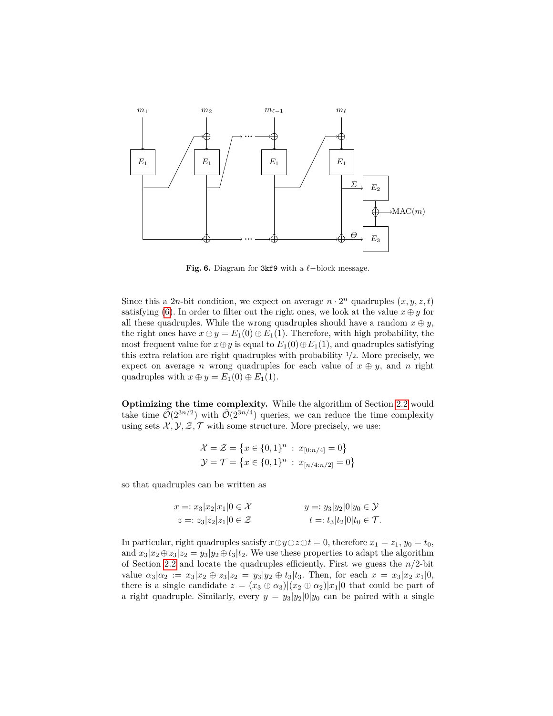

<span id="page-18-0"></span>Fig. 6. Diagram for 3kf9 with a  $\ell$ −block message.

Since this a 2*n*-bit condition, we expect on average  $n \cdot 2^n$  quadruples  $(x, y, z, t)$ satisfying [\(6\)](#page-17-0). In order to filter out the right ones, we look at the value  $x \oplus y$  for all these quadruples. While the wrong quadruples should have a random  $x \oplus y$ , the right ones have  $x \oplus y = E_1(0) \oplus E_1(1)$ . Therefore, with high probability, the most frequent value for  $x \oplus y$  is equal to  $E_1(0) \oplus E_1(1)$ , and quadruples satisfying this extra relation are right quadruples with probability <sup>1</sup>*/*2. More precisely, we expect on average *n* wrong quadruples for each value of  $x \oplus y$ , and *n* right quadruples with  $x \oplus y = E_1(0) \oplus E_1(1)$ .

**Optimizing the time complexity.** While the algorithm of Section [2.2](#page-5-0) would take time  $\tilde{\mathcal{O}}(2^{3n/2})$  with  $\tilde{\mathcal{O}}(2^{3n/4})$  queries, we can reduce the time complexity using sets  $\mathcal{X}, \mathcal{Y}, \mathcal{Z}, \mathcal{T}$  with some structure. More precisely, we use:

$$
\mathcal{X} = \mathcal{Z} = \{x \in \{0, 1\}^n : x_{[0:n/4]} = 0\}
$$
  

$$
\mathcal{Y} = \mathcal{T} = \{x \in \{0, 1\}^n : x_{[n/4:n/2]} = 0\}
$$

so that quadruples can be written as

$$
x =: x_3|x_2|x_1|0 \in \mathcal{X}
$$
  
\n
$$
y =: y_3|y_2|0|y_0 \in \mathcal{Y}
$$
  
\n
$$
z =: z_3|z_2|z_1|0 \in \mathcal{Z}
$$
  
\n
$$
t =: t_3|t_2|0|t_0 \in \mathcal{T}.
$$

In particular, right quadruples satisfy  $x \oplus y \oplus z \oplus t = 0$ , therefore  $x_1 = z_1, y_0 = t_0$ , and  $x_3|x_2 \oplus z_3|z_2 = y_3|y_2 \oplus t_3|t_2$ . We use these properties to adapt the algorithm of Section [2.2](#page-5-0) and locate the quadruples efficiently. First we guess the *n/*2-bit value  $\alpha_3|\alpha_2 := x_3|x_2 \oplus z_3|z_2 = y_3|y_2 \oplus t_3|t_3$ . Then, for each  $x = x_3|x_2|x_1|0$ , there is a single candidate  $z = (x_3 \oplus \alpha_3)(x_2 \oplus \alpha_2)x_1|0$  that could be part of a right quadruple. Similarly, every  $y = y_3|y_2|0|y_0$  can be paired with a single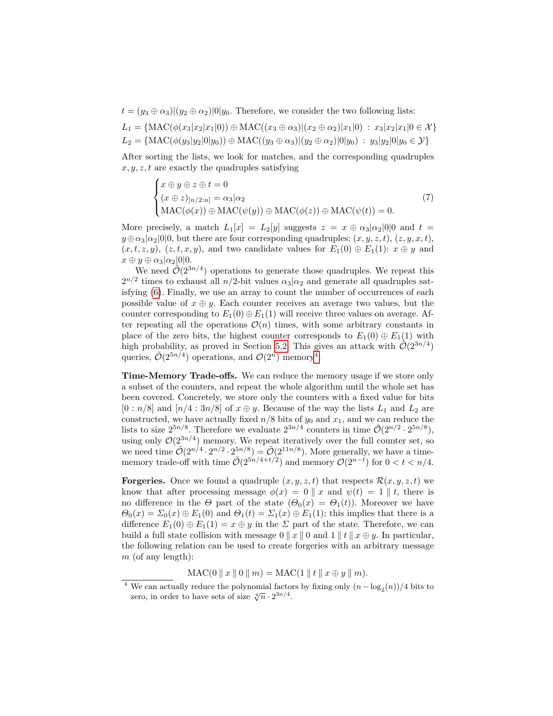$t = (y_3 \oplus \alpha_3)|(y_2 \oplus \alpha_2)|0|y_0$ . Therefore, we consider the two following lists:

$$
L_1 = \{ \text{MAC}(\phi(x_3|x_2|x_1|0)) \oplus \text{MAC}((x_3 \oplus \alpha_3)|(x_2 \oplus \alpha_2)|x_1|0) : x_3|x_2|x_1|0 \in \mathcal{X} \}
$$
  

$$
L_2 = \{ \text{MAC}(\phi(y_3|y_2|0|y_0)) \oplus \text{MAC}((y_3 \oplus \alpha_3)|(y_2 \oplus \alpha_2)|0|y_0) : y_3|y_2|0|y_0 \in \mathcal{Y} \}
$$

After sorting the lists, we look for matches, and the corresponding quadruples *x, y, z, t* are exactly the quadruples satisfying

$$
\begin{cases}\nx \oplus y \oplus z \oplus t = 0 \\
(x \oplus z)_{[n/2:n]} = \alpha_3 | \alpha_2 \\
\text{MAC}(\phi(x)) \oplus \text{MAC}(\psi(y)) \oplus \text{MAC}(\phi(z)) \oplus \text{MAC}(\psi(t)) = 0.\n\end{cases}
$$
\n(7)

More precisely, a match  $L_1[x] = L_2[y]$  suggests  $z = x \oplus \alpha_3|\alpha_2|0|0$  and  $t =$  $y \oplus \alpha_3 |\alpha_2|$  0|0, but there are four corresponding quadruples:  $(x, y, z, t)$ ,  $(z, y, x, t)$ ,  $(x, t, z, y)$ ,  $(z, t, x, y)$ , and two candidate values for  $E_1(0) \oplus E_1(1)$ :  $x \oplus y$  and  $x \oplus y \oplus \alpha_3 |\alpha_2| 0 | 0.$ 

We need  $\mathcal{O}(2^{3n/4})$  operations to generate those quadruples. We repeat this  $2^{n/2}$  times to exhaust all  $n/2$ -bit values  $\alpha_3|\alpha_2$  and generate all quadruples satisfying [\(6\)](#page-17-0). Finally, we use an array to count the number of occurrences of each possible value of  $x \oplus y$ . Each counter receives an average two values, but the counter corresponding to  $E_1(0) \oplus E_1(1)$  will receive three values on average. After repeating all the operations  $\mathcal{O}(n)$  times, with some arbitrary constants in place of the zero bits, the highest counter corresponds to  $E_1(0) \oplus E_1(1)$  with high probability, as proved in Section [5.2.](#page-20-0) This gives an attack with  $\tilde{\mathcal{O}}(2^{3n/4})$ queries,  $\tilde{\mathcal{O}}(2^{5n/4})$  $\tilde{\mathcal{O}}(2^{5n/4})$  $\tilde{\mathcal{O}}(2^{5n/4})$  operations, and  $\mathcal{O}(2^n)$  memory<sup>4</sup>.

**Time-Memory Trade-offs.** We can reduce the memory usage if we store only a subset of the counters, and repeat the whole algorithm until the whole set has been covered. Concretely, we store only the counters with a fixed value for bits  $[0 : n/8]$  and  $[n/4 : 3n/8]$  of  $x \oplus y$ . Because of the way the lists  $L_1$  and  $L_2$  are constructed, we have actually fixed  $n/8$  bits of  $y_0$  and  $x_1$ , and we can reduce the lists to size  $2^{5n/8}$ . Therefore we evaluate  $2^{3n/4}$  counters in time  $\tilde{\mathcal{O}}(2^{n/2} \cdot 2^{5n/8})$ , using only  $\mathcal{O}(2^{3n/4})$  memory. We repeat iteratively over the full counter set, so we need time  $\tilde{\mathcal{O}}(2^{n/4} \cdot 2^{n/2} \cdot 2^{5n/8}) = \tilde{\mathcal{O}}(2^{11n/8})$ . More generally, we have a timememory trade-off with time  $\tilde{\mathcal{O}}(2^{5n/4+t/2})$  and memory  $\mathcal{O}(2^{n-t})$  for  $0 < t < n/4$ .

**Forgeries.** Once we found a quadruple  $(x, y, z, t)$  that respects  $\mathcal{R}(x, y, z, t)$  we know that after processing message  $\phi(x) = 0 \parallel x$  and  $\psi(t) = 1 \parallel t$ , there is no difference in the *Θ* part of the state  $(\Theta_0(x) = \Theta_1(t))$ . Moreover we have  $\Theta_0(x) = \Sigma_0(x) \oplus E_1(0)$  and  $\Theta_1(t) = \Sigma_1(x) \oplus E_1(1)$ ; this implies that there is a difference  $E_1(0) \oplus E_1(1) = x \oplus y$  in the *Σ* part of the state. Therefore, we can build a full state collision with message  $0 \parallel x \parallel 0$  and  $1 \parallel t \parallel x \oplus y$ . In particular, the following relation can be used to create forgeries with an arbitrary message *m* (of any length):

 $MAC(0 || x || 0 || m) = MAC(1 || t || x \oplus y || m)$ .

<span id="page-19-0"></span><sup>&</sup>lt;sup>4</sup> We can actually reduce the polynomial factors by fixing only  $(n - \log_2(n))/4$  bits to we can actually reduce the polynomial ractor<br>zero, in order to have sets of size  $\sqrt[4]{n} \cdot 2^{3n/4}$ .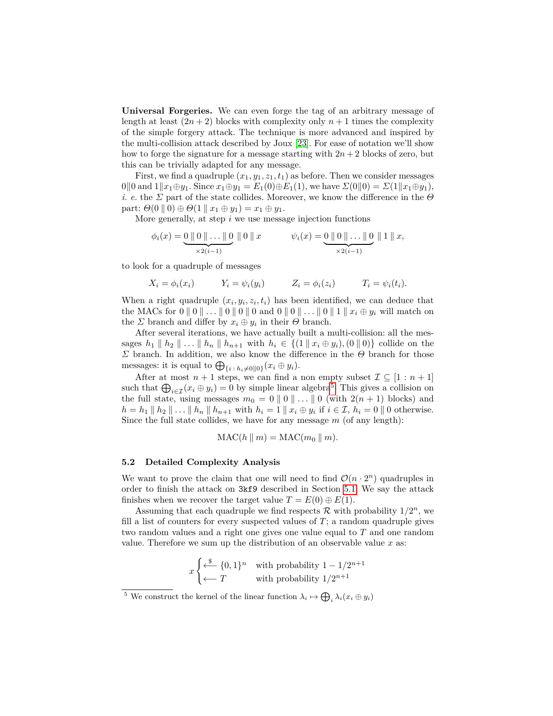**Universal Forgeries.** We can even forge the tag of an arbitrary message of length at least  $(2n + 2)$  blocks with complexity only  $n + 1$  times the complexity of the simple forgery attack. The technique is more advanced and inspired by the multi-collision attack described by Joux [\[23\]](#page-28-17). For ease of notation we'll show how to forge the signature for a message starting with  $2n + 2$  blocks of zero, but this can be trivially adapted for any message.

First, we find a quadruple  $(x_1, y_1, z_1, t_1)$  as before. Then we consider messages 0||0 and  $1||x_1 \oplus y_1$ . Since  $x_1 \oplus y_1 = E_1(0) \oplus E_1(1)$ , we have  $\Sigma(0||0) = \Sigma(1||x_1 \oplus y_1)$ , *i. e.* the *Σ* part of the state collides. Moreover, we know the difference in the *Θ* part:  $\Theta(0 \parallel 0) \oplus \Theta(1 \parallel x_1 \oplus y_1) = x_1 \oplus y_1.$ 

More generally, at step *i* we use message injection functions

$$
\phi_i(x) = \underbrace{0 \parallel 0 \parallel \ldots \parallel 0}_{\times 2(i-1)} \parallel 0 \parallel x \qquad \psi_i(x) = \underbrace{0 \parallel 0 \parallel \ldots \parallel 0}_{\times 2(i-1)} \parallel 1 \parallel x,
$$

to look for a quadruple of messages

$$
X_i = \phi_i(x_i) \qquad Y_i = \psi_i(y_i) \qquad Z_i = \phi_i(z_i) \qquad T_i = \psi_i(t_i).
$$

When a right quadruple  $(x_i, y_i, z_i, t_i)$  has been identified, we can deduce that the MACs for  $0 \parallel 0 \parallel ... \parallel 0 \parallel 0 \parallel 0$  and  $0 \parallel 0 \parallel ... \parallel 0 \parallel 1 \parallel x_i \oplus y_i$  will match on the *Σ* branch and differ by  $x_i \oplus y_i$  in their *Θ* branch.

After several iterations, we have actually built a multi-collision: all the messages  $h_1 \, \| h_2 \, \| \, \ldots \, \| h_n \, \| h_{n+1}$  with  $h_i \in \{ (1 \, \| \, x_i \oplus y_i), (0 \, \| \, 0) \}$  collide on the *Σ* branch. In addition, we also know the difference in the *Θ* branch for those messages: it is equal to  $\bigoplus_{\{i \,:\, h_i \neq 0 | 0\}} (x_i \oplus y_i)$ .

After at most  $n + 1$  steps, we can find a non empty subset  $\mathcal{I} \subseteq [1 : n + 1]$ such that  $\bigoplus_{i \in \mathcal{I}} (x_i \oplus y_i) = 0$  by simple linear algebra<sup>[5](#page-20-1)</sup>. This gives a collision on the full state, using messages  $m_0 = 0 \parallel 0 \parallel ... \parallel 0$  (with  $2(n + 1)$  blocks) and  $h = h_1 \, \| h_2 \, \| \, \ldots \, \| h_n \, \| \, h_{n+1}$  with  $h_i = 1 \, \| x_i \oplus y_i \text{ if } i \in \mathcal{I}, h_i = 0 \, \| \, 0 \text{ otherwise.}$ Since the full state collides, we have for any message *m* (of any length):

$$
\text{MAC}(h \parallel m) = \text{MAC}(m_0 \parallel m).
$$

#### <span id="page-20-0"></span>**5.2 Detailed Complexity Analysis**

We want to prove the claim that one will need to find  $\mathcal{O}(n \cdot 2^n)$  quadruples in order to finish the attack on 3kf9 described in Section [5.1.](#page-16-2) We say the attack finishes when we recover the target value  $T = E(0) \oplus E(1)$ .

Assuming that each quadruple we find respects  $\mathcal{R}$  with probability  $1/2^n$ , we fill a list of counters for every suspected values of  $T$ ; a random quadruple gives two random values and a right one gives one value equal to *T* and one random value. Therefore we sum up the distribution of an observable value *x* as:

$$
x \begin{cases} \stackrel{\$}{\longleftarrow} \{0,1\}^n & \text{with probability } 1 - 1/2^{n+1} \\ \longleftarrow T & \text{with probability } 1/2^{n+1} \end{cases}
$$

<span id="page-20-1"></span><sup>&</sup>lt;sup>5</sup> We construct the kernel of the linear function  $\lambda_i \mapsto \bigoplus_i \lambda_i (x_i \oplus y_i)$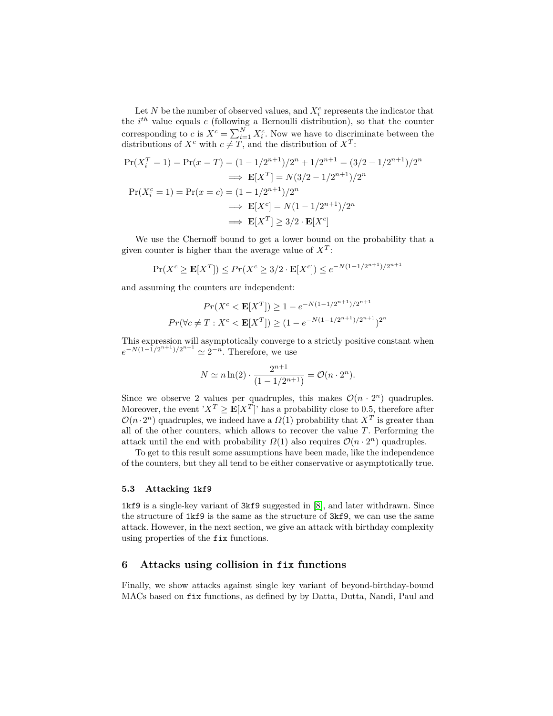Let  $N$  be the number of observed values, and  $X_i^c$  represents the indicator that Let *I* be the number of observed values, and  $X_i$  represents the multiator that the *i*<sup>th</sup> value equals *c* (following a Bernoulli distribution), so that the counter corresponding to *c* is  $X^c = \sum_{i=1}^{N} X_i^c$ . Now we have to discriminate between the distributions of  $X^c$  with  $c \neq T$ , and the distribution of  $X^T$ :

$$
\Pr(X_i^T = 1) = \Pr(x = T) = (1 - 1/2^{n+1})/2^n + 1/2^{n+1} = (3/2 - 1/2^{n+1})/2^n
$$
  
\n
$$
\implies \mathbf{E}[X^T] = N(3/2 - 1/2^{n+1})/2^n
$$
  
\n
$$
\Pr(X_i^c = 1) = \Pr(x = c) = (1 - 1/2^{n+1})/2^n
$$
  
\n
$$
\implies \mathbf{E}[X^c] = N(1 - 1/2^{n+1})/2^n
$$
  
\n
$$
\implies \mathbf{E}[X^T] \ge 3/2 \cdot \mathbf{E}[X^c]
$$

We use the Chernoff bound to get a lower bound on the probability that a given counter is higher than the average value of *X<sup>T</sup>* :

$$
\Pr(X^c \ge \mathbf{E}[X^T]) \le \Pr(X^c \ge 3/2 \cdot \mathbf{E}[X^c]) \le e^{-N(1-1/2^{n+1})/2^{n+1}}
$$

and assuming the counters are independent:

$$
Pr(X^c < \mathbf{E}[X^T]) \ge 1 - e^{-N(1 - 1/2^{n+1})/2^{n+1}}
$$
\n
$$
Pr(\forall c \ne T : X^c < \mathbf{E}[X^T]) \ge (1 - e^{-N(1 - 1/2^{n+1})/2^{n+1}})^{2^n}
$$

This expression will asymptotically converge to a strictly positive constant when  $e^{-N(1-\frac{1}{2}n+1)/2^{n+1}} \simeq 2^{-n}$ . Therefore, we use

$$
N \simeq n \ln(2) \cdot \frac{2^{n+1}}{(1 - 1/2^{n+1})} = \mathcal{O}(n \cdot 2^n).
$$

Since we observe 2 values per quadruples, this makes  $\mathcal{O}(n \cdot 2^n)$  quadruples. Moreover, the event  $'X^T \geq \mathbf{E}[X^T]$ <sup>'</sup> has a probability close to 0.5, therefore after  $\mathcal{O}(n \cdot 2^n)$  quadruples, we indeed have a  $\Omega(1)$  probability that  $X^T$  is greater than all of the other counters, which allows to recover the value *T*. Performing the attack until the end with probability  $\Omega(1)$  also requires  $\mathcal{O}(n \cdot 2^n)$  quadruples.

To get to this result some assumptions have been made, like the independence of the counters, but they all tend to be either conservative or asymptotically true.

#### **5.3 Attacking 1kf9**

1kf9 is a single-key variant of 3kf9 suggested in [\[8\]](#page-27-7), and later withdrawn. Since the structure of 1kf9 is the same as the structure of 3kf9, we can use the same attack. However, in the next section, we give an attack with birthday complexity using properties of the fix functions.

#### <span id="page-21-0"></span>**6 Attacks using collision in fix functions**

Finally, we show attacks against single key variant of beyond-birthday-bound MACs based on fix functions, as defined by by Datta, Dutta, Nandi, Paul and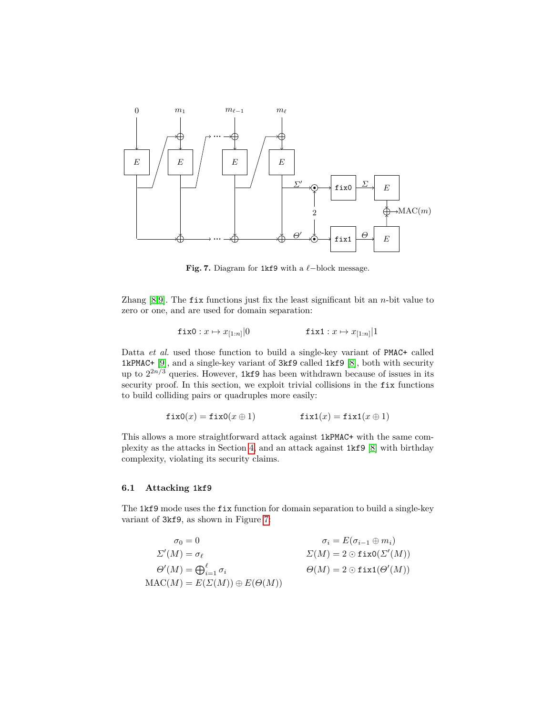

<span id="page-22-0"></span>**Fig. 7.** Diagram for 1kf9 with a  $ℓ$ −block message.

Zhang [\[8,](#page-27-7)[9\]](#page-27-6). The fix functions just fix the least significant bit an *n*-bit value to zero or one, and are used for domain separation:

$$
\mathtt{fix0}: x \mapsto x_{[1:n]}|0 \qquad \qquad \mathtt{fix1}: x \mapsto x_{[1:n]}|1
$$

Datta *et al.* used those function to build a single-key variant of PMAC+ called 1kPMAC+ [\[9\]](#page-27-6), and a single-key variant of 3kf9 called 1kf9 [\[8\]](#page-27-7), both with security up to 2 <sup>2</sup>*n/*<sup>3</sup> queries. However, 1kf9 has been withdrawn because of issues in its security proof. In this section, we exploit trivial collisions in the fix functions to build colliding pairs or quadruples more easily:

$$
fix0(x) = fix0(x \oplus 1) \qquad \qquad fix1(x) = fix1(x \oplus 1)
$$

This allows a more straightforward attack against 1kPMAC+ with the same complexity as the attacks in Section [4,](#page-13-0) and an attack against 1kf9 [\[8\]](#page-27-7) with birthday complexity, violating its security claims.

# **6.1 Attacking 1kf9**

The 1kf9 mode uses the fix function for domain separation to build a single-key variant of 3kf9, as shown in Figure [7:](#page-22-0)

$$
\begin{aligned}\n\sigma_0 &= 0 & \sigma_i &= E(\sigma_{i-1} \oplus m_i) \\
\varSigma'(M) &= \sigma_\ell & \varSigma(M) &= 2 \odot \text{fixO}(\varSigma'(M)) \\
\Theta'(M) &= \bigoplus_{i=1}^\ell \sigma_i & \Theta(M) &= 2 \odot \text{fix1}(\Theta'(M)) \\
\text{MAC}(M) &= E(\varSigma(M)) \oplus E(\Theta(M))\n\end{aligned}
$$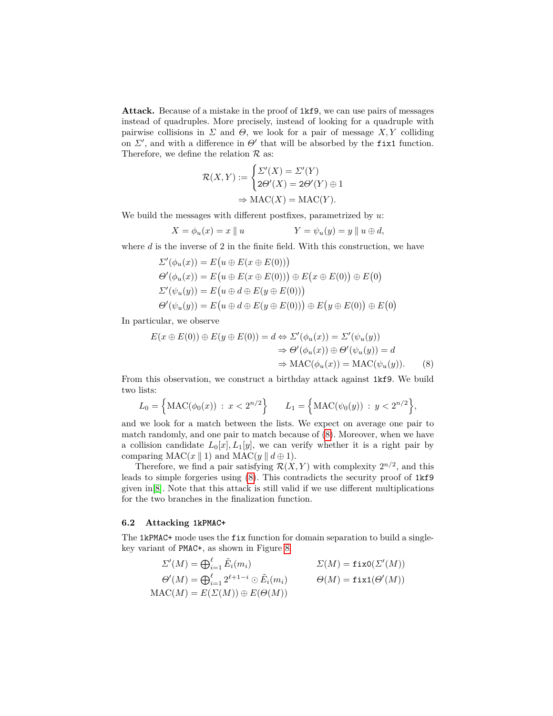**Attack.** Because of a mistake in the proof of 1kf9, we can use pairs of messages instead of quadruples. More precisely, instead of looking for a quadruple with pairwise collisions in  $\Sigma$  and  $\Theta$ , we look for a pair of message  $X, Y$  colliding on  $\Sigma'$ , and with a difference in  $\Theta'$  that will be absorbed by the fix1 function. Therefore, we define the relation  $\mathcal R$  as:

$$
\mathcal{R}(X,Y) := \begin{cases} \Sigma'(X) = \Sigma'(Y) \\ 2\Theta'(X) = 2\Theta'(Y) \oplus 1 \\ \Rightarrow \text{MAC}(X) = \text{MAC}(Y). \end{cases}
$$

We build the messages with different postfixes, parametrized by *u*:

<span id="page-23-0"></span> $\mathcal{L}$ 

$$
X = \phi_u(x) = x \parallel u \qquad \qquad Y = \psi_u(y) = y \parallel u \oplus d,
$$

where *d* is the inverse of 2 in the finite field. With this construction, we have

$$
\Sigma'(\phi_u(x)) = E(u \oplus E(x \oplus E(0)))
$$
  
\n
$$
\Theta'(\phi_u(x)) = E(u \oplus E(x \oplus E(0))) \oplus E(x \oplus E(0)) \oplus E(0)
$$
  
\n
$$
\Sigma'(\psi_u(y)) = E(u \oplus d \oplus E(y \oplus E(0)))
$$
  
\n
$$
\Theta'(\psi_u(y)) = E(u \oplus d \oplus E(y \oplus E(0))) \oplus E(y \oplus E(0)) \oplus E(0)
$$

In particular, we observe

$$
E(x \oplus E(0)) \oplus E(y \oplus E(0)) = d \Leftrightarrow \Sigma'(\phi_u(x)) = \Sigma'(\psi_u(y))
$$
  
\n
$$
\Rightarrow \Theta'(\phi_u(x)) \oplus \Theta'(\psi_u(y)) = d
$$
  
\n
$$
\Rightarrow \text{MAC}(\phi_u(x)) = \text{MAC}(\psi_u(y)). \tag{8}
$$

From this observation, we construct a birthday attack against 1kf9. We build two lists:

$$
L_0 = \left\{ \text{MAC}(\phi_0(x)) : x < 2^{n/2} \right\} \qquad L_1 = \left\{ \text{MAC}(\psi_0(y)) : y < 2^{n/2} \right\},
$$

and we look for a match between the lists. We expect on average one pair to match randomly, and one pair to match because of [\(8\)](#page-23-0). Moreover, when we have a collision candidate  $L_0[x], L_1[y]$ , we can verify whether it is a right pair by comparing  $MAC(x || 1)$  and  $MAC(y || d \oplus 1)$ .

Therefore, we find a pair satisfying  $\mathcal{R}(X, Y)$  with complexity  $2^{n/2}$ , and this leads to simple forgeries using [\(8\)](#page-23-0). This contradicts the security proof of 1kf9 given in[\[8\]](#page-27-7). Note that this attack is still valid if we use different multiplications for the two branches in the finalization function.

#### **6.2 Attacking 1kPMAC+**

The 1kPMAC+ mode uses the fix function for domain separation to build a singlekey variant of PMAC+, as shown in Figure [8.](#page-24-0)

$$
\Sigma'(M) = \bigoplus_{i=1}^{\ell} \tilde{E}_i(m_i) \qquad \qquad \Sigma(M) = \text{fixO}(\Sigma'(M))
$$

$$
\Theta'(M) = \bigoplus_{i=1}^{\ell} 2^{\ell+1-i} \odot \tilde{E}_i(m_i) \qquad \qquad \Theta(M) = \text{fix1}(\Theta'(M))
$$

$$
\text{MAC}(M) = E(\Sigma(M)) \oplus E(\Theta(M))
$$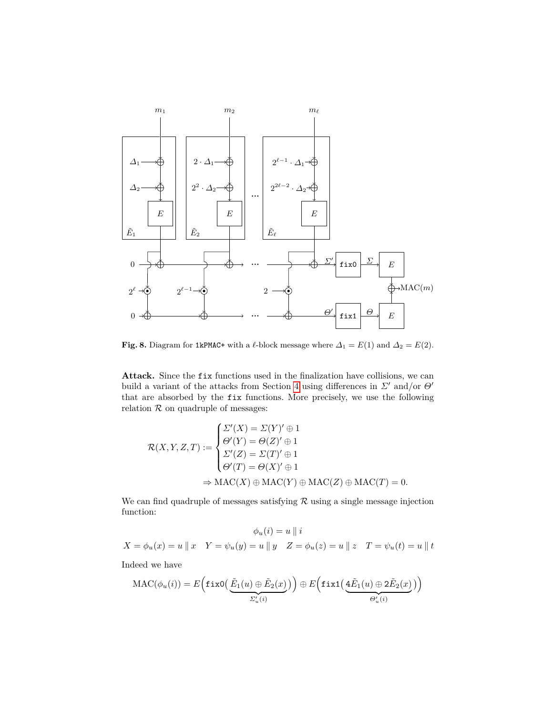

<span id="page-24-0"></span>**Fig. 8.** Diagram for 1kPMAC+ with a  $\ell$ -block message where  $\Delta_1 = E(1)$  and  $\Delta_2 = E(2)$ .

**Attack.** Since the fix functions used in the finalization have collisions, we can build a variant of the attacks from Section [4](#page-13-0) using differences in  $\Sigma'$  and/or  $\Theta'$ that are absorbed by the fix functions. More precisely, we use the following relation  $R$  on quadruple of messages:

$$
\mathcal{R}(X, Y, Z, T) := \begin{cases} \Sigma'(X) = \Sigma(Y)' \oplus 1 \\ \Theta'(Y) = \Theta(Z)' \oplus 1 \\ \Sigma'(Z) = \Sigma(T)' \oplus 1 \\ \Theta'(T) = \Theta(X)' \oplus 1 \\ \Rightarrow \text{MAC}(X) \oplus \text{MAC}(Y) \oplus \text{MAC}(Z) \oplus \text{MAC}(T) = 0. \end{cases}
$$

We can find quadruple of messages satisfying  $R$  using a single message injection function:

$$
\phi_u(i) = u \parallel i
$$
  

$$
X = \phi_u(x) = u \parallel x \quad Y = \psi_u(y) = u \parallel y \quad Z = \phi_u(z) = u \parallel z \quad T = \psi_u(t) = u \parallel t
$$

Indeed we have

$$
\text{MAC}(\phi_u(i)) = E\Big(\text{fixO}\Big(\underbrace{\tilde{E}_1(u) \oplus \tilde{E}_2(x)}_{\Sigma'_u(i)}\Big)\Big) \oplus E\Big(\text{fix1}\Big(\underbrace{4\tilde{E}_1(u) \oplus 2\tilde{E}_2(x)}_{\Theta'_u(i)}\Big)\Big)
$$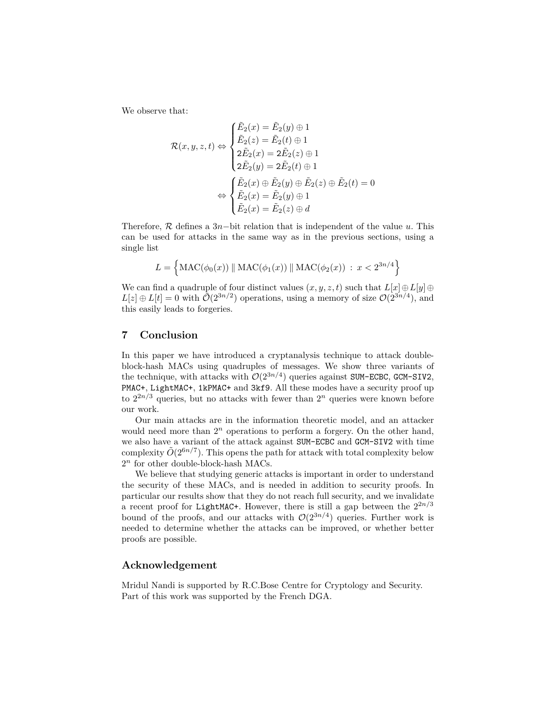We observe that:

$$
\mathcal{R}(x, y, z, t) \Leftrightarrow \begin{cases} \tilde{E}_2(x) = \tilde{E}_2(y) \oplus 1 \\ \tilde{E}_2(z) = \tilde{E}_2(t) \oplus 1 \\ 2\tilde{E}_2(x) = 2\tilde{E}_2(z) \oplus 1 \\ 2\tilde{E}_2(y) = 2\tilde{E}_2(t) \oplus 1 \\ \Leftrightarrow \begin{cases} \tilde{E}_2(x) \oplus \tilde{E}_2(y) \oplus \tilde{E}_2(z) \oplus \tilde{E}_2(t) = 0 \\ \tilde{E}_2(x) = \tilde{E}_2(y) \oplus 1 \\ \tilde{E}_2(x) = \tilde{E}_2(z) \oplus d \end{cases} \end{cases}
$$

Therefore, R defines a 3*n*−bit relation that is independent of the value *u*. This can be used for attacks in the same way as in the previous sections, using a single list

$$
L = \left\{ \text{MAC}(\phi_0(x)) \parallel \text{MAC}(\phi_1(x)) \parallel \text{MAC}(\phi_2(x)) : x < 2^{3n/4} \right\}
$$

We can find a quadruple of four distinct values  $(x, y, z, t)$  such that  $L[x] \oplus L[y] \oplus L[y]$  $L[z] \oplus L[t] = 0$  with  $\tilde{O}(2^{3n/2})$  operations, using a memory of size  $\mathcal{O}(2^{3n/4})$ , and this easily leads to forgeries.

# **7 Conclusion**

In this paper we have introduced a cryptanalysis technique to attack doubleblock-hash MACs using quadruples of messages. We show three variants of the technique, with attacks with  $\mathcal{O}(2^{3n/4})$  queries against SUM-ECBC, GCM-SIV2, PMAC+, LightMAC+, 1kPMAC+ and 3kf9. All these modes have a security proof up to  $2^{2n/3}$  queries, but no attacks with fewer than  $2^n$  queries were known before our work.

Our main attacks are in the information theoretic model, and an attacker would need more than  $2^n$  operations to perform a forgery. On the other hand, we also have a variant of the attack against SUM-ECBC and GCM-SIV2 with time complexity  $\tilde{O}(2^{6n/7})$ . This opens the path for attack with total complexity below  $2<sup>n</sup>$  for other double-block-hash MACs.

We believe that studying generic attacks is important in order to understand the security of these MACs, and is needed in addition to security proofs. In particular our results show that they do not reach full security, and we invalidate a recent proof for LightMAC+. However, there is still a gap between the 2 2*n/*3 bound of the proofs, and our attacks with  $\mathcal{O}(2^{3n/4})$  queries. Further work is needed to determine whether the attacks can be improved, or whether better proofs are possible.

# **Acknowledgement**

Mridul Nandi is supported by R.C.Bose Centre for Cryptology and Security. Part of this work was supported by the French DGA.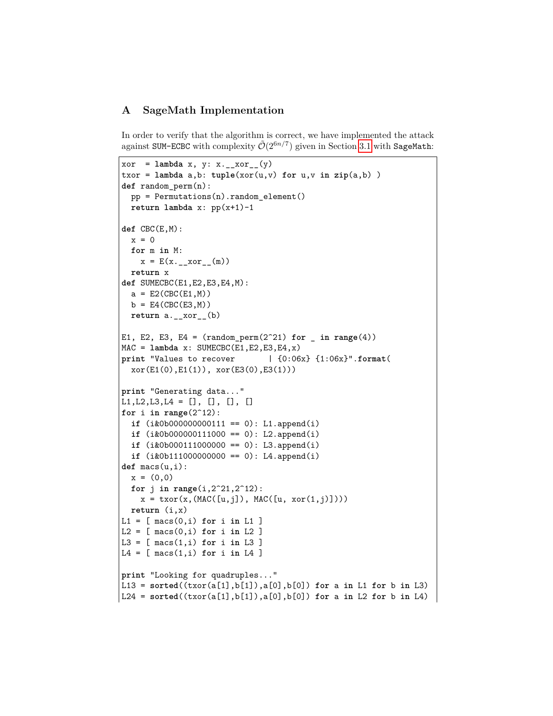# **A SageMath Implementation**

In order to verify that the algorithm is correct, we have implemented the attack against SUM-ECBC with complexity  $\tilde{\mathcal{O}}(2^{6n/7})$  given in Section [3.1](#page-10-1) with SageMath:

```
xor =lambdax, y: x.<sub>_</sub>xor<sub>__</sub>(y)
txor␣=␣lambda␣a,b:␣tuple(xor(u,v)␣for␣u,v␣in␣zip(a,b)␣)
def random perm(n):
 pp = Permutations(n).random_element()
 ␣␣return␣lambda␣x:␣pp(x+1)-1
def␣CBC(E,M):
 x = 0␣␣for␣m␣in␣M:
    x = E(x, -xor_-(m))␣␣return␣x
def␣SUMECBC(E1,E2,E3,E4,M):
  a = E2(CBC(E1,M))b = E4(CBC(E3,M))␣␣return␣a.__xor__(b)
E1, E2, E3, E4 = (\text{random\_perm}(2^21) for \text{in range}(4))MAC = lambda x: SUMECBC(E1,E2,E3,E4,x)
print␣"Values␣to␣recover␣␣␣␣␣␣␣|␣{0:06x}␣{1:06x}".format(
  xor(E1(0), E1(1)), xor(E3(0), E3(1)))print "Generating data..."
L1, L2, L3, L4 = [], [], [], []for i in range(2<sup>12</sup>):
 ␣␣if␣(i&0b000000000111␣==␣0):␣L1.append(i)
  ␣␣if␣(i&0b000000111000␣==␣0):␣L2.append(i)
  ␣␣if␣(i&0b000111000000␣==␣0):␣L3.append(i)
 ␣␣if␣(i&0b111000000000␣==␣0):␣L4.append(i)
def␣macs(u,i):
 x = (0,0)␣␣for␣j␣in␣range(i,2^21,2^12):
    x = txor(x,(MAC([u,j]), MAC([u, xor(1,j)])))␣␣return␣(i,x)
L1 = [ macs(0,i) for i in L1 ]
L2 = [ macs(0,i) for i in L2 ]
L3 = [max(1,i) for i in L3 ]
L4 = [max(1,i) for i in L4 ]
print "Looking for quadruples..."
L13␣=␣sorted((txor(a[1],b[1]),a[0],b[0])␣for␣a␣in␣L1␣for␣b␣in␣L3)
L24␣=␣sorted((txor(a[1],b[1]),a[0],b[0])␣for␣a␣in␣L2␣for␣b␣in␣L4)
```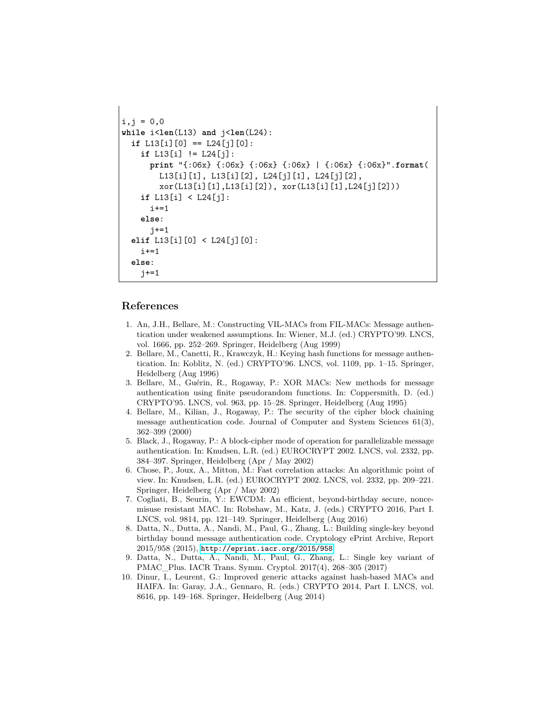```
i, j = 0,0while␣i<len(L13)␣and␣j<len(L24):
  if L13[i][0] == L24[j][0]:␣␣␣␣if␣L13[i]␣!=␣L24[j]:
      ␣␣␣␣␣␣print␣"{:06x}␣{:06x}␣{:06x}␣{:06x}␣|␣{:06x}␣{:06x}".format(
        L13[i][1], L13[i][2], L24[j][1], L24[j][2],
        ␣␣␣␣␣␣␣␣xor(L13[i][1],L13[i][2]),␣xor(L13[i][1],L24[j][2]))
    ␣␣␣␣if␣L13[i]␣<␣L24[j]:
      i+=1␣␣␣␣else:
      j+=1␣␣elif␣L13[i][0]␣<␣L24[j][0]:
    i+=1␣␣else:
    j+=1
```
# **References**

- <span id="page-27-3"></span>1. An, J.H., Bellare, M.: Constructing VIL-MACs from FIL-MACs: Message authentication under weakened assumptions. In: Wiener, M.J. (ed.) CRYPTO'99. LNCS, vol. 1666, pp. 252–269. Springer, Heidelberg (Aug 1999)
- <span id="page-27-2"></span>2. Bellare, M., Canetti, R., Krawczyk, H.: Keying hash functions for message authentication. In: Koblitz, N. (ed.) CRYPTO'96. LNCS, vol. 1109, pp. 1–15. Springer, Heidelberg (Aug 1996)
- <span id="page-27-5"></span>3. Bellare, M., Guérin, R., Rogaway, P.: XOR MACs: New methods for message authentication using finite pseudorandom functions. In: Coppersmith, D. (ed.) CRYPTO'95. LNCS, vol. 963, pp. 15–28. Springer, Heidelberg (Aug 1995)
- <span id="page-27-0"></span>4. Bellare, M., Kilian, J., Rogaway, P.: The security of the cipher block chaining message authentication code. Journal of Computer and System Sciences 61(3), 362–399 (2000)
- <span id="page-27-1"></span>5. Black, J., Rogaway, P.: A block-cipher mode of operation for parallelizable message authentication. In: Knudsen, L.R. (ed.) EUROCRYPT 2002. LNCS, vol. 2332, pp. 384–397. Springer, Heidelberg (Apr / May 2002)
- <span id="page-27-9"></span>6. Chose, P., Joux, A., Mitton, M.: Fast correlation attacks: An algorithmic point of view. In: Knudsen, L.R. (ed.) EUROCRYPT 2002. LNCS, vol. 2332, pp. 209–221. Springer, Heidelberg (Apr / May 2002)
- <span id="page-27-4"></span>7. Cogliati, B., Seurin, Y.: EWCDM: An efficient, beyond-birthday secure, noncemisuse resistant MAC. In: Robshaw, M., Katz, J. (eds.) CRYPTO 2016, Part I. LNCS, vol. 9814, pp. 121–149. Springer, Heidelberg (Aug 2016)
- <span id="page-27-7"></span>8. Datta, N., Dutta, A., Nandi, M., Paul, G., Zhang, L.: Building single-key beyond birthday bound message authentication code. Cryptology ePrint Archive, Report 2015/958 (2015), <http://eprint.iacr.org/2015/958>
- <span id="page-27-6"></span>9. Datta, N., Dutta, A., Nandi, M., Paul, G., Zhang, L.: Single key variant of PMAC\_Plus. IACR Trans. Symm. Cryptol. 2017(4), 268–305 (2017)
- <span id="page-27-8"></span>10. Dinur, I., Leurent, G.: Improved generic attacks against hash-based MACs and HAIFA. In: Garay, J.A., Gennaro, R. (eds.) CRYPTO 2014, Part I. LNCS, vol. 8616, pp. 149–168. Springer, Heidelberg (Aug 2014)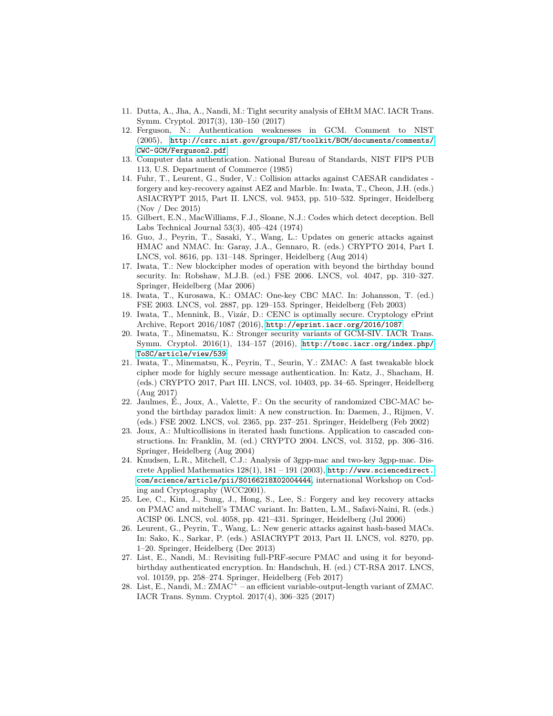- <span id="page-28-10"></span>11. Dutta, A., Jha, A., Nandi, M.: Tight security analysis of EHtM MAC. IACR Trans. Symm. Cryptol. 2017(3), 130–150 (2017)
- <span id="page-28-15"></span>12. Ferguson, N.: Authentication weaknesses in GCM. Comment to NIST (2005), [http://csrc.nist.gov/groups/ST/toolkit/BCM/documents/comments/](http://csrc.nist.gov/groups/ST/toolkit/BCM/documents/comments/CWC-GCM/Ferguson2.pdf) [CWC-GCM/Ferguson2.pdf](http://csrc.nist.gov/groups/ST/toolkit/BCM/documents/comments/CWC-GCM/Ferguson2.pdf)
- <span id="page-28-0"></span>13. Computer data authentication. National Bureau of Standards, NIST FIPS PUB 113, U.S. Department of Commerce (1985)
- <span id="page-28-14"></span>14. Fuhr, T., Leurent, G., Suder, V.: Collision attacks against CAESAR candidates forgery and key-recovery against AEZ and Marble. In: Iwata, T., Cheon, J.H. (eds.) ASIACRYPT 2015, Part II. LNCS, vol. 9453, pp. 510–532. Springer, Heidelberg (Nov / Dec 2015)
- <span id="page-28-2"></span>15. Gilbert, E.N., MacWilliams, F.J., Sloane, N.J.: Codes which detect deception. Bell Labs Technical Journal 53(3), 405–424 (1974)
- <span id="page-28-12"></span>16. Guo, J., Peyrin, T., Sasaki, Y., Wang, L.: Updates on generic attacks against HMAC and NMAC. In: Garay, J.A., Gennaro, R. (eds.) CRYPTO 2014, Part I. LNCS, vol. 8616, pp. 131–148. Springer, Heidelberg (Aug 2014)
- <span id="page-28-8"></span>17. Iwata, T.: New blockcipher modes of operation with beyond the birthday bound security. In: Robshaw, M.J.B. (ed.) FSE 2006. LNCS, vol. 4047, pp. 310–327. Springer, Heidelberg (Mar 2006)
- <span id="page-28-1"></span>18. Iwata, T., Kurosawa, K.: OMAC: One-key CBC MAC. In: Johansson, T. (ed.) FSE 2003. LNCS, vol. 2887, pp. 129–153. Springer, Heidelberg (Feb 2003)
- <span id="page-28-9"></span>19. Iwata, T., Mennink, B., Vizár, D.: CENC is optimally secure. Cryptology ePrint Archive, Report 2016/1087 (2016), <http://eprint.iacr.org/2016/1087>
- <span id="page-28-4"></span>20. Iwata, T., Minematsu, K.: Stronger security variants of GCM-SIV. IACR Trans. Symm. Cryptol. 2016(1), 134–157 (2016), [http://tosc.iacr.org/index.php/](http://tosc.iacr.org/index.php/ToSC/article/view/539) [ToSC/article/view/539](http://tosc.iacr.org/index.php/ToSC/article/view/539)
- <span id="page-28-6"></span>21. Iwata, T., Minematsu, K., Peyrin, T., Seurin, Y.: ZMAC: A fast tweakable block cipher mode for highly secure message authentication. In: Katz, J., Shacham, H. (eds.) CRYPTO 2017, Part III. LNCS, vol. 10403, pp. 34–65. Springer, Heidelberg (Aug 2017)
- <span id="page-28-3"></span>22. Jaulmes, É., Joux, A., Valette, F.: On the security of randomized CBC-MAC beyond the birthday paradox limit: A new construction. In: Daemen, J., Rijmen, V. (eds.) FSE 2002. LNCS, vol. 2365, pp. 237–251. Springer, Heidelberg (Feb 2002)
- <span id="page-28-17"></span>23. Joux, A.: Multicollisions in iterated hash functions. Application to cascaded constructions. In: Franklin, M. (ed.) CRYPTO 2004. LNCS, vol. 3152, pp. 306–316. Springer, Heidelberg (Aug 2004)
- <span id="page-28-16"></span>24. Knudsen, L.R., Mitchell, C.J.: Analysis of 3gpp-mac and two-key 3gpp-mac. Discrete Applied Mathematics  $128(1)$ ,  $181 - 191$  (2003), [http://www.sciencedirect.](http://www.sciencedirect.com/science/article/pii/S0166218X02004444) [com/science/article/pii/S0166218X02004444](http://www.sciencedirect.com/science/article/pii/S0166218X02004444), international Workshop on Coding and Cryptography (WCC2001).
- <span id="page-28-13"></span>25. Lee, C., Kim, J., Sung, J., Hong, S., Lee, S.: Forgery and key recovery attacks on PMAC and mitchell's TMAC variant. In: Batten, L.M., Safavi-Naini, R. (eds.) ACISP 06. LNCS, vol. 4058, pp. 421–431. Springer, Heidelberg (Jul 2006)
- <span id="page-28-11"></span>26. Leurent, G., Peyrin, T., Wang, L.: New generic attacks against hash-based MACs. In: Sako, K., Sarkar, P. (eds.) ASIACRYPT 2013, Part II. LNCS, vol. 8270, pp. 1–20. Springer, Heidelberg (Dec 2013)
- <span id="page-28-5"></span>27. List, E., Nandi, M.: Revisiting full-PRF-secure PMAC and using it for beyondbirthday authenticated encryption. In: Handschuh, H. (ed.) CT-RSA 2017. LNCS, vol. 10159, pp. 258–274. Springer, Heidelberg (Feb 2017)
- <span id="page-28-7"></span>28. List, E., Nandi, M.:  $ZMAC^+$  – an efficient variable-output-length variant of ZMAC. IACR Trans. Symm. Cryptol. 2017(4), 306–325 (2017)